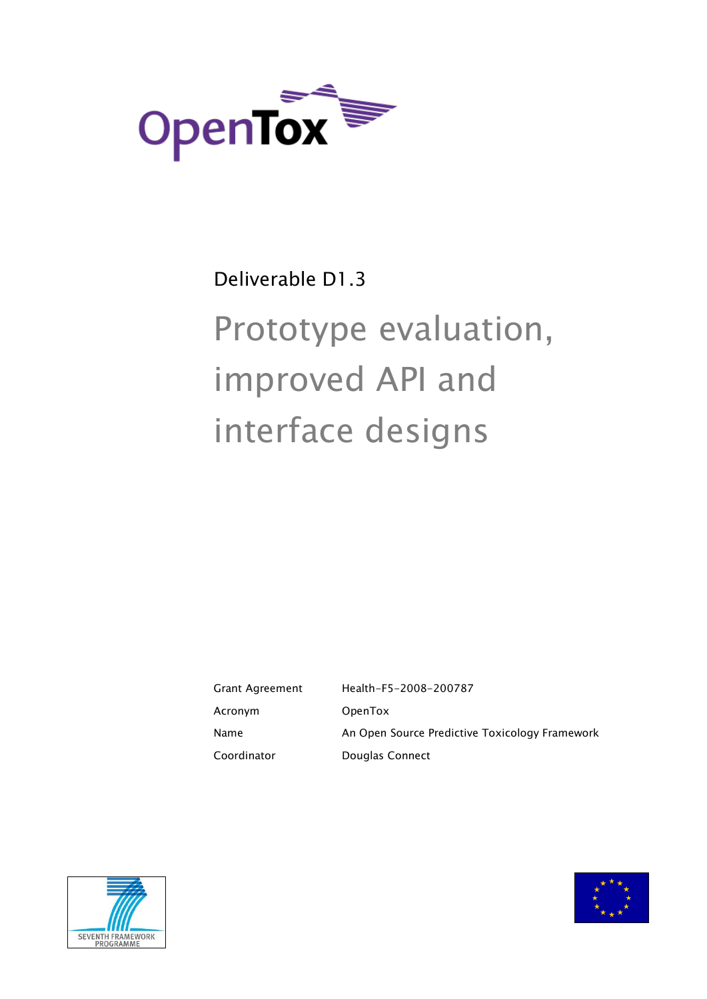

# Deliverable D1.3

# Prototype evaluation, improved API and interface designs

Grant Agreement Health-F5-2008-200787 Acronym OpenTox Name **An Open Source Predictive Toxicology Framework** Coordinator Douglas Connect



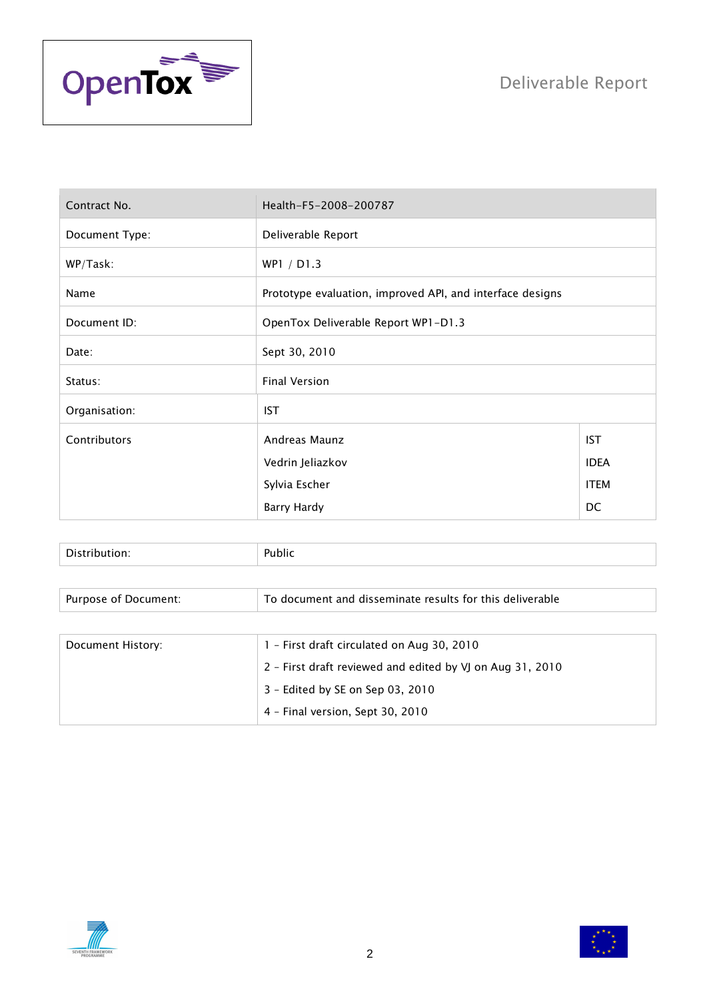



| Contract No.   | Health-F5-2008-200787                                     |    |  |  |  |
|----------------|-----------------------------------------------------------|----|--|--|--|
| Document Type: | Deliverable Report                                        |    |  |  |  |
| WP/Task:       | WP1 / D1.3                                                |    |  |  |  |
| Name           | Prototype evaluation, improved API, and interface designs |    |  |  |  |
| Document ID:   | OpenTox Deliverable Report WP1-D1.3                       |    |  |  |  |
| Date:          | Sept 30, 2010                                             |    |  |  |  |
| Status:        | <b>Final Version</b>                                      |    |  |  |  |
| Organisation:  | <b>IST</b>                                                |    |  |  |  |
| Contributors   | Andreas Maunz<br><b>IST</b>                               |    |  |  |  |
|                | Vedrin Jeliazkov<br><b>IDEA</b>                           |    |  |  |  |
|                | Sylvia Escher<br><b>ITEM</b>                              |    |  |  |  |
|                | Barry Hardy                                               | DC |  |  |  |

| - -<br>. | л.<br>. |
|----------|---------|
|----------|---------|

| Purpose of Document: | To document and disseminate results for this deliverable  |  |  |  |
|----------------------|-----------------------------------------------------------|--|--|--|
|                      |                                                           |  |  |  |
| Document History:    | 1 - First draft circulated on Aug 30, 2010                |  |  |  |
|                      | 2 - First draft reviewed and edited by VJ on Aug 31, 2010 |  |  |  |
|                      | 3 - Edited by SE on Sep 03, 2010                          |  |  |  |
|                      | 4 - Final version, Sept 30, 2010                          |  |  |  |



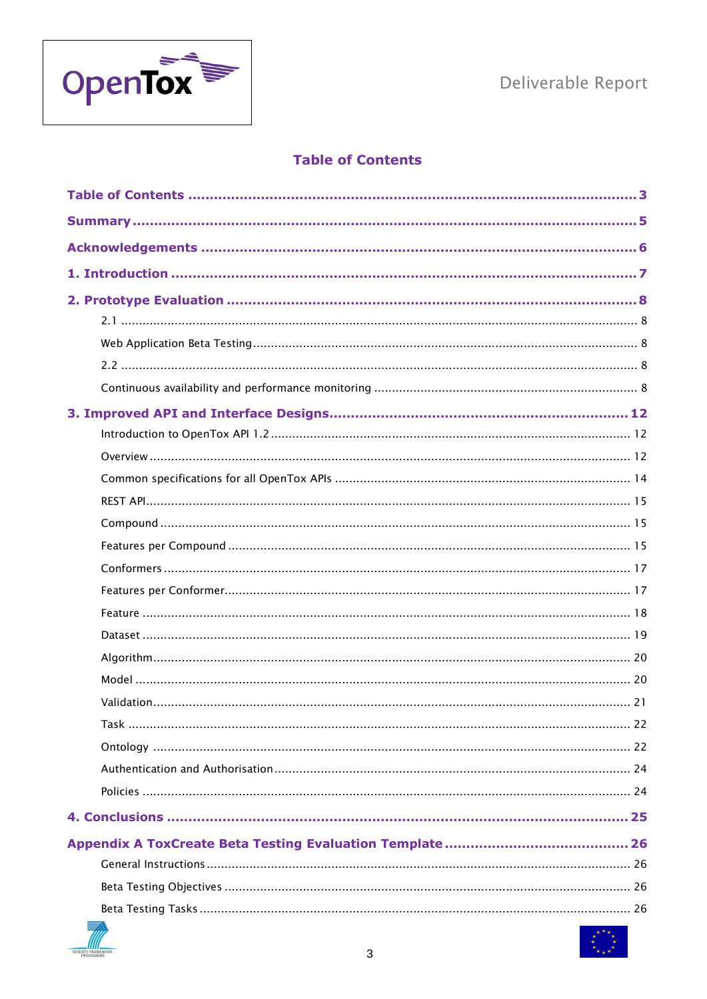

# **Table of Contents**

<span id="page-2-0"></span>



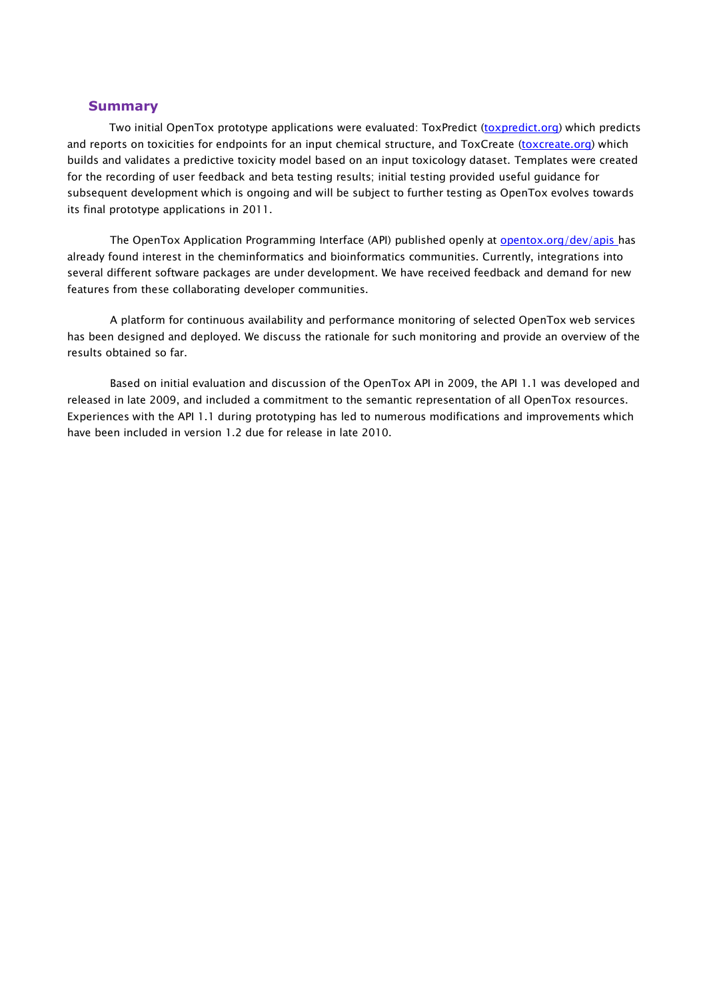#### <span id="page-4-0"></span>**Summary**

Two initial OpenTox prototype applications were evaluated: ToxPredict [\(toxpredict.org\)](http://toxpredict.org/) which predicts and reports on toxicities for endpoints for an input chemical structure, and ToxCreate [\(toxcreate.org\)](http://toxcreate.org/) which builds and validates a predictive toxicity model based on an input toxicology dataset. Templates were created for the recording of user feedback and beta testing results; initial testing provided useful guidance for subsequent development which is ongoing and will be subject to further testing as OpenTox evolves towards its final prototype applications in 2011.

The OpenTox Application Programming Interface (API) published openly at [opentox.org/dev/apis](http://opentox.org/dev/apis) has already found interest in the cheminformatics and bioinformatics communities. Currently, integrations into several different software packages are under development. We have received feedback and demand for new features from these collaborating developer communities.

A platform for continuous availability and performance monitoring of selected OpenTox web services has been designed and deployed. We discuss the rationale for such monitoring and provide an overview of the results obtained so far.

Based on initial evaluation and discussion of the OpenTox API in 2009, the API 1.1 was developed and released in late 2009, and included a commitment to the semantic representation of all OpenTox resources. Experiences with the API 1.1 during prototyping has led to numerous modifications and improvements which have been included in version 1.2 due for release in late 2010.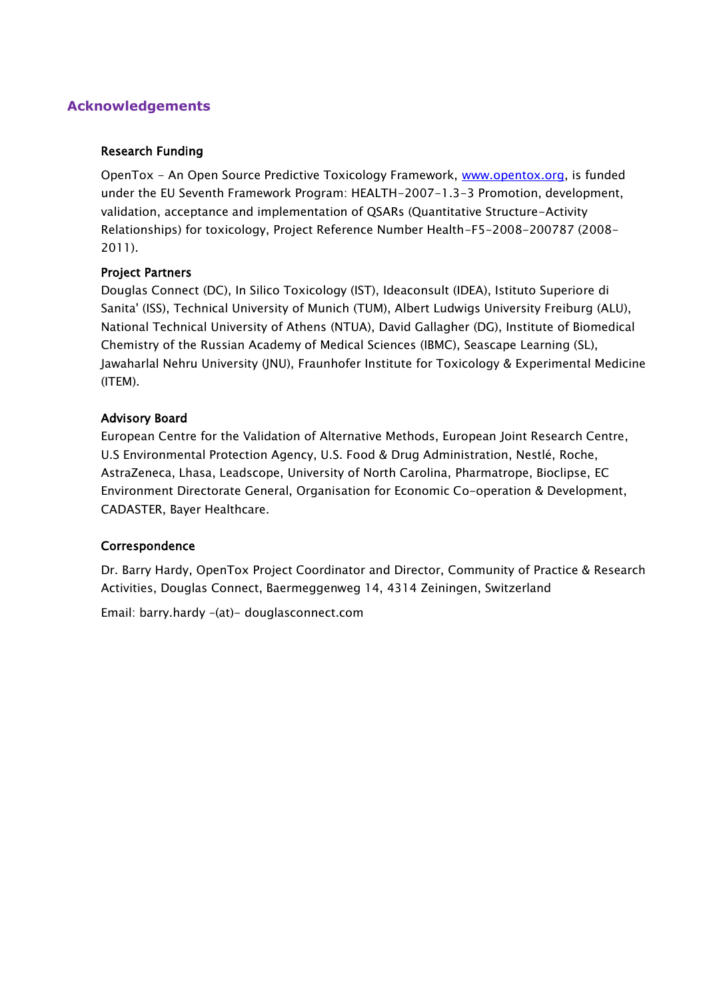# <span id="page-5-0"></span>**Acknowledgements**

#### Research Funding

OpenTox - An Open Source Predictive Toxicology Framework, [www.opentox.org,](http://www.opentox.org/) is funded under the EU Seventh Framework Program: HEALTH-2007-1.3-3 Promotion, development, validation, acceptance and implementation of QSARs (Quantitative Structure-Activity Relationships) for toxicology, Project Reference Number Health-F5-2008-200787 (2008- 2011).

#### Project Partners

Douglas Connect (DC), In Silico Toxicology (IST), Ideaconsult (IDEA), Istituto Superiore di Sanita' (ISS), Technical University of Munich (TUM), Albert Ludwigs University Freiburg (ALU), National Technical University of Athens (NTUA), David Gallagher (DG), Institute of Biomedical Chemistry of the Russian Academy of Medical Sciences (IBMC), Seascape Learning (SL), Jawaharlal Nehru University (JNU), Fraunhofer Institute for Toxicology & Experimental Medicine (ITEM).

#### Advisory Board

European Centre for the Validation of Alternative Methods, European Joint Research Centre, U.S Environmental Protection Agency, U.S. Food & Drug Administration, Nestlé, Roche, AstraZeneca, Lhasa, Leadscope, University of North Carolina, Pharmatrope, Bioclipse, EC Environment Directorate General, Organisation for Economic Co-operation & Development, CADASTER, Bayer Healthcare.

## Correspondence

Dr. Barry Hardy, OpenTox Project Coordinator and Director, Community of Practice & Research Activities, Douglas Connect, Baermeggenweg 14, 4314 Zeiningen, Switzerland

Email: barry.hardy –(at)- douglasconnect.com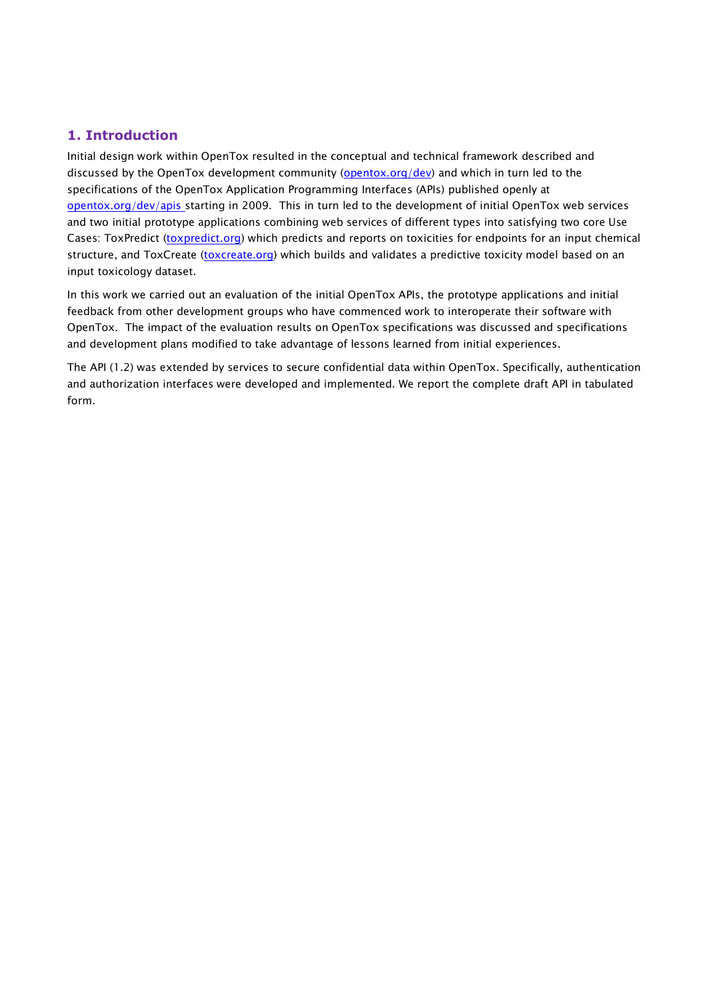## <span id="page-6-0"></span>**1. Introduction**

Initial design work within OpenTox resulted in the conceptual and technical framework described and discussed by the OpenTox development community [\(opentox.org/dev\)](http://opentox.org/projects/show/opentox) and which in turn led to the specifications of the OpenTox Application Programming Interfaces (APIs) published openly at [opentox.org/dev/apis](http://opentox.org/dev/apis) starting in 2009. This in turn led to the development of initial OpenTox web services and two initial prototype applications combining web services of different types into satisfying two core Use Cases: ToxPredict [\(toxpredict.org\)](http://toxpredict.org/) which predicts and reports on toxicities for endpoints for an input chemical structure, and ToxCreate [\(toxcreate.org\)](http://toxcreate.org/) which builds and validates a predictive toxicity model based on an input toxicology dataset.

In this work we carried out an evaluation of the initial OpenTox APIs, the prototype applications and initial feedback from other development groups who have commenced work to interoperate their software with OpenTox. The impact of the evaluation results on OpenTox specifications was discussed and specifications and development plans modified to take advantage of lessons learned from initial experiences.

The API (1.2) was extended by services to secure confidential data within OpenTox. Specifically, authentication and authorization interfaces were developed and implemented. We report the complete draft API in tabulated form.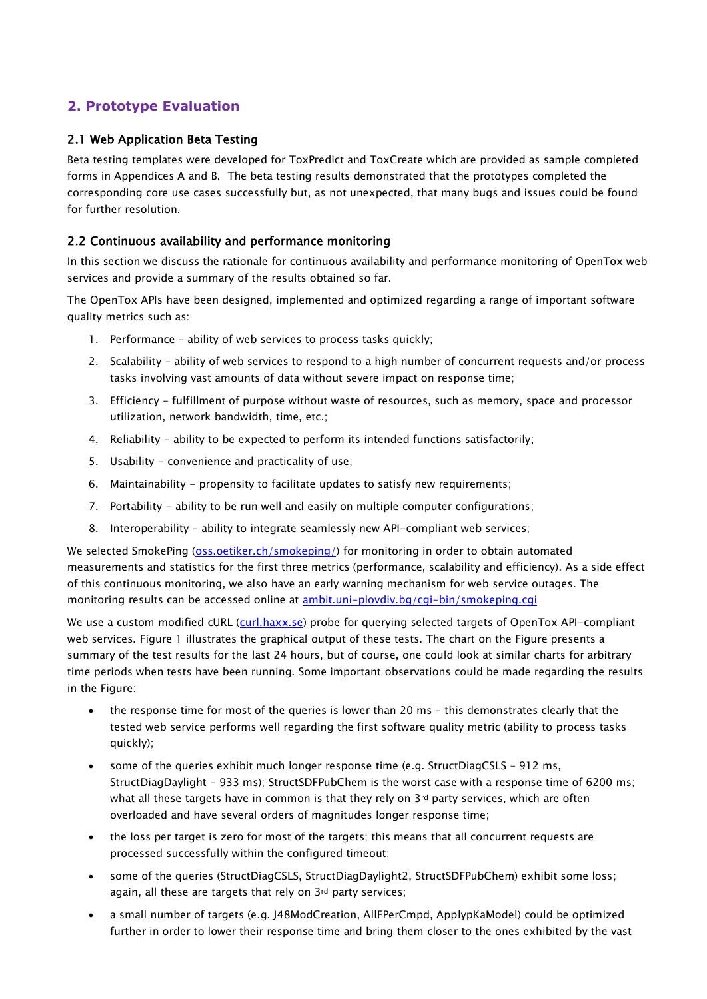# <span id="page-7-0"></span>**2. Prototype Evaluation**

#### <span id="page-7-2"></span><span id="page-7-1"></span>2.1 Web Application Beta Testing

Beta testing templates were developed for ToxPredict and ToxCreate which are provided as sample completed forms in Appendices A and B. The beta testing results demonstrated that the prototypes completed the corresponding core use cases successfully but, as not unexpected, that many bugs and issues could be found for further resolution.

#### <span id="page-7-4"></span><span id="page-7-3"></span>2.2 Continuous availability and performance monitoring

In this section we discuss the rationale for continuous availability and performance monitoring of OpenTox web services and provide a summary of the results obtained so far.

The OpenTox APIs have been designed, implemented and optimized regarding a range of important software quality metrics such as:

- 1. Performance ability of web services to process tasks quickly;
- 2. Scalability ability of web services to respond to a high number of concurrent requests and/or process tasks involving vast amounts of data without severe impact on response time;
- 3. Efficiency fulfillment of purpose without waste of resources, such as memory, space and processor utilization, network bandwidth, time, etc.;
- 4. Reliability ability to be expected to perform its intended functions satisfactorily;
- 5. Usability convenience and practicality of use;
- 6. Maintainability propensity to facilitate updates to satisfy new requirements;
- 7. Portability ability to be run well and easily on multiple computer configurations;
- 8. Interoperability ability to integrate seamlessly new API-compliant web services;

We selected SmokePing [\(oss.oetiker.ch/smokeping/\)](http://oss.oetiker.ch/smokeping/) for monitoring in order to obtain automated measurements and statistics for the first three metrics (performance, scalability and efficiency). As a side effect of this continuous monitoring, we also have an early warning mechanism for web service outages. The monitoring results can be accessed online at ambit.uni-plovdiv.bg/cqi-bin/smokeping.cqi

We use a custom modified cURL [\(curl.haxx.se\)](http://curl.haxx.se/) probe for querying selected targets of OpenTox API-compliant web services. Figure 1 illustrates the graphical output of these tests. The chart on the Figure presents a summary of the test results for the last 24 hours, but of course, one could look at similar charts for arbitrary time periods when tests have been running. Some important observations could be made regarding the results in the Figure:

- the response time for most of the queries is lower than 20 ms this demonstrates clearly that the tested web service performs well regarding the first software quality metric (ability to process tasks quickly);
- some of the queries exhibit much longer response time (e.g. StructDiagCSLS 912 ms, StructDiagDaylight – 933 ms); StructSDFPubChem is the worst case with a response time of 6200 ms; what all these targets have in common is that they rely on 3rd party services, which are often overloaded and have several orders of magnitudes longer response time;
- the loss per target is zero for most of the targets; this means that all concurrent requests are processed successfully within the configured timeout;
- some of the queries (StructDiagCSLS, StructDiagDaylight2, StructSDFPubChem) exhibit some loss; again, all these are targets that rely on 3rd party services;
- a small number of targets (e.g. J48ModCreation, AllFPerCmpd, ApplypKaModel) could be optimized further in order to lower their response time and bring them closer to the ones exhibited by the vast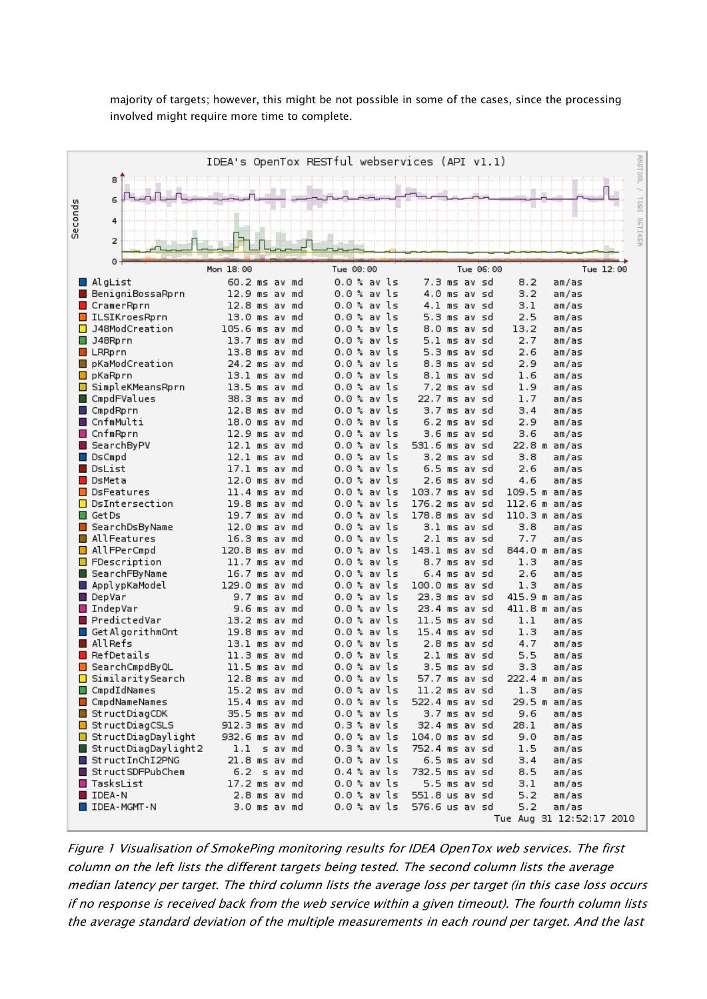majority of targets; however, this might be not possible in some of the cases, since the processing involved might require more time to complete.



Figure 1 Visualisation of SmokePing monitoring results for IDEA OpenTox web services. The first column on the left lists the different targets being tested. The second column lists the average median latency per target. The third column lists the average loss per target (in this case loss occurs if no response is received back from the web service within a given timeout). The fourth column lists the average standard deviation of the multiple measurements in each round per target. And the last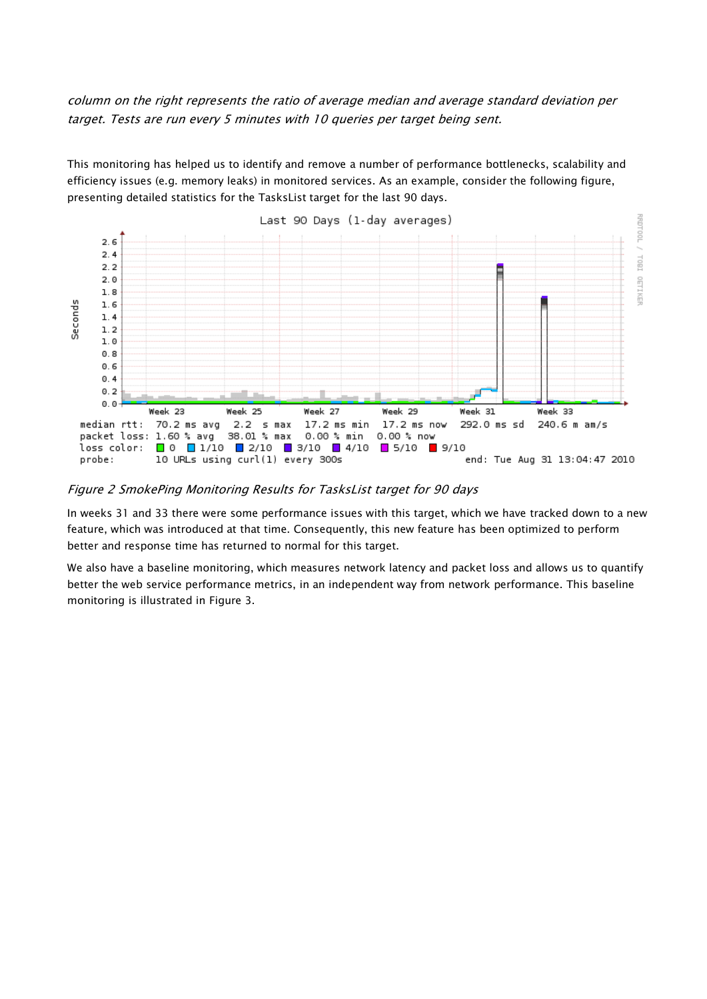column on the right represents the ratio of average median and average standard deviation per target. Tests are run every 5 minutes with 10 queries per target being sent.

This monitoring has helped us to identify and remove a number of performance bottlenecks, scalability and efficiency issues (e.g. memory leaks) in monitored services. As an example, consider the following figure, presenting detailed statistics for the TasksList target for the last 90 days.



Figure 2 SmokePing Monitoring Results for TasksList target for 90 days

In weeks 31 and 33 there were some performance issues with this target, which we have tracked down to a new feature, which was introduced at that time. Consequently, this new feature has been optimized to perform better and response time has returned to normal for this target.

We also have a baseline monitoring, which measures network latency and packet loss and allows us to quantify better the web service performance metrics, in an independent way from network performance. This baseline monitoring is illustrated in Figure 3.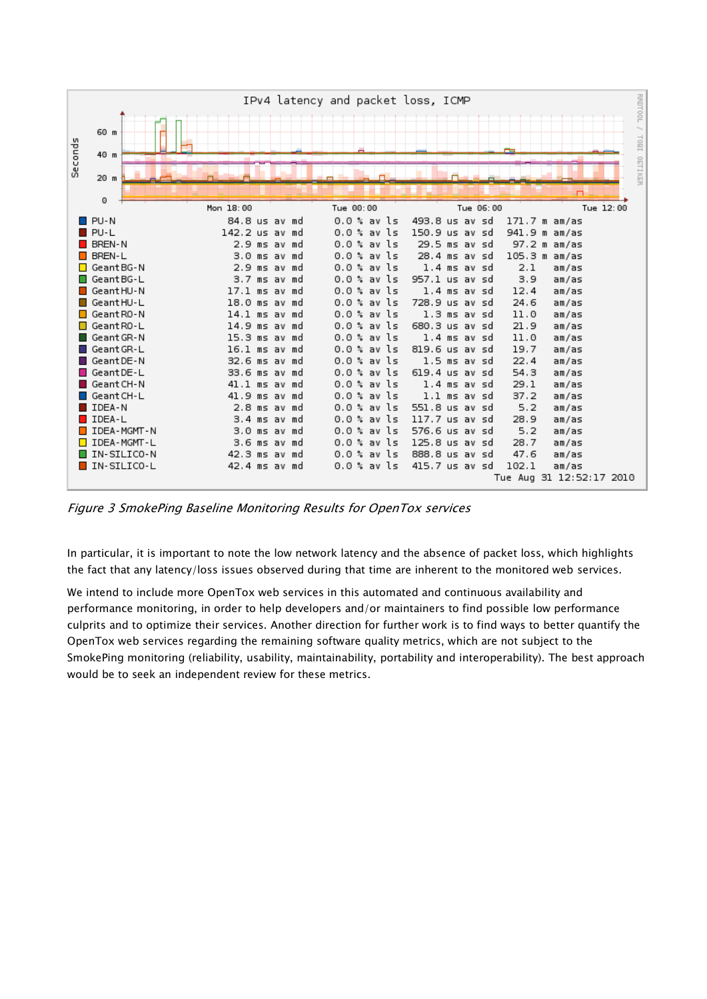

Figure 3 SmokePing Baseline Monitoring Results for OpenTox services

In particular, it is important to note the low network latency and the absence of packet loss, which highlights the fact that any latency/loss issues observed during that time are inherent to the monitored web services.

We intend to include more OpenTox web services in this automated and continuous availability and performance monitoring, in order to help developers and/or maintainers to find possible low performance culprits and to optimize their services. Another direction for further work is to find ways to better quantify the OpenTox web services regarding the remaining software quality metrics, which are not subject to the SmokePing monitoring (reliability, usability, maintainability, portability and interoperability). The best approach would be to seek an independent review for these metrics.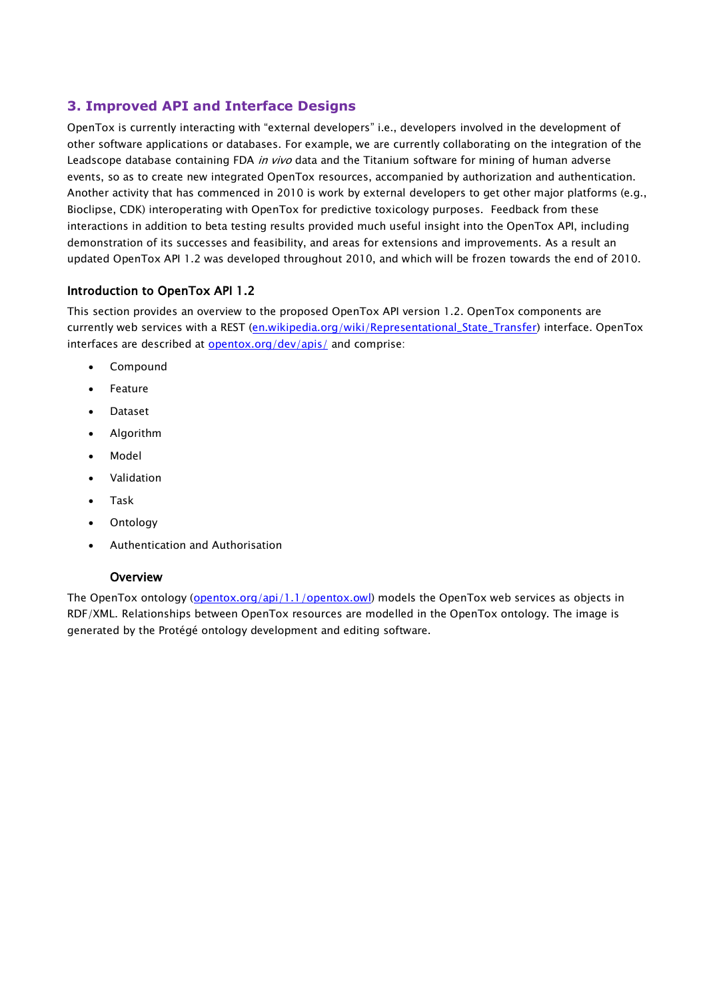# <span id="page-11-0"></span>**3. Improved API and Interface Designs**

OpenTox is currently interacting with "external developers" i.e., developers involved in the development of other software applications or databases. For example, we are currently collaborating on the integration of the Leadscope database containing FDA in vivo data and the Titanium software for mining of human adverse events, so as to create new integrated OpenTox resources, accompanied by authorization and authentication. Another activity that has commenced in 2010 is work by external developers to get other major platforms (e.g., Bioclipse, CDK) interoperating with OpenTox for predictive toxicology purposes. Feedback from these interactions in addition to beta testing results provided much useful insight into the OpenTox API, including demonstration of its successes and feasibility, and areas for extensions and improvements. As a result an updated OpenTox API 1.2 was developed throughout 2010, and which will be frozen towards the end of 2010.

#### <span id="page-11-1"></span>Introduction to OpenTox API 1.2

This section provides an overview to the proposed OpenTox API version 1.2. OpenTox components are currently web services with a REST [\(en.wikipedia.org/wiki/Representational\\_State\\_Transfer\)](http://en.wikipedia.org/wiki/Representational_State_Transfer) interface. OpenTox interfaces are described at **opentox.org/dev/apis/** and comprise:

- Compound
- Feature
- Dataset
- Algorithm
- Model
- Validation
- Task
- **Ontology**
- <span id="page-11-2"></span>Authentication and Authorisation

#### **Overview**

The OpenTox ontology [\(opentox.org/api/1.1/opentox.owl\)](http://opentox.org/api/1.1/opentox.owl) models the OpenTox web services as objects in RDF/XML. Relationships between OpenTox resources are modelled in the OpenTox ontology. The image is generated by the Protégé ontology development and editing software.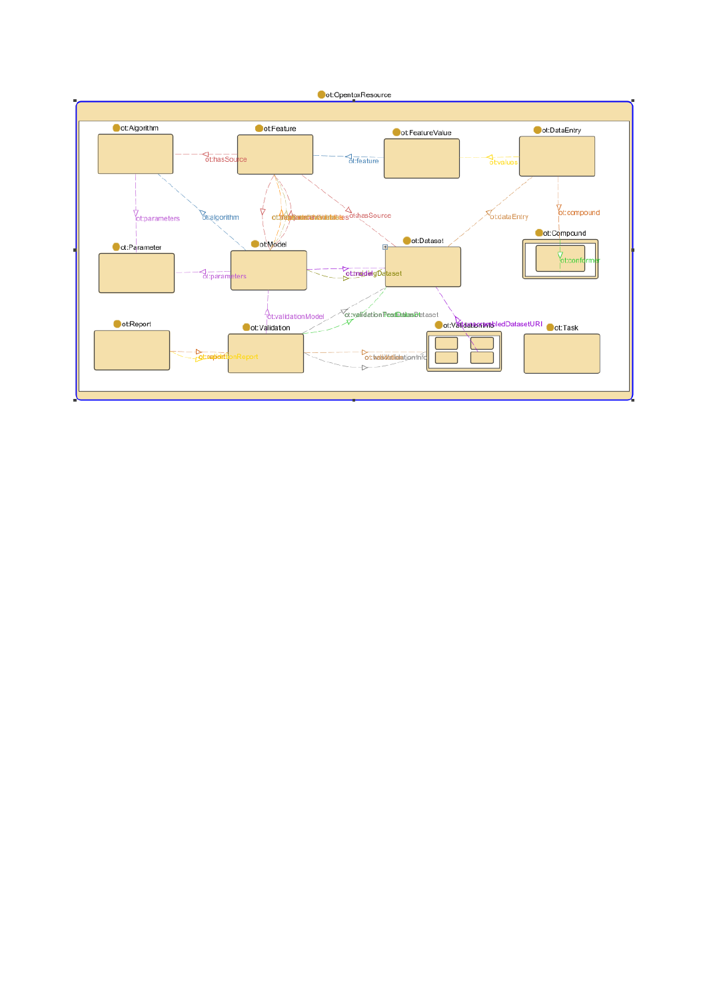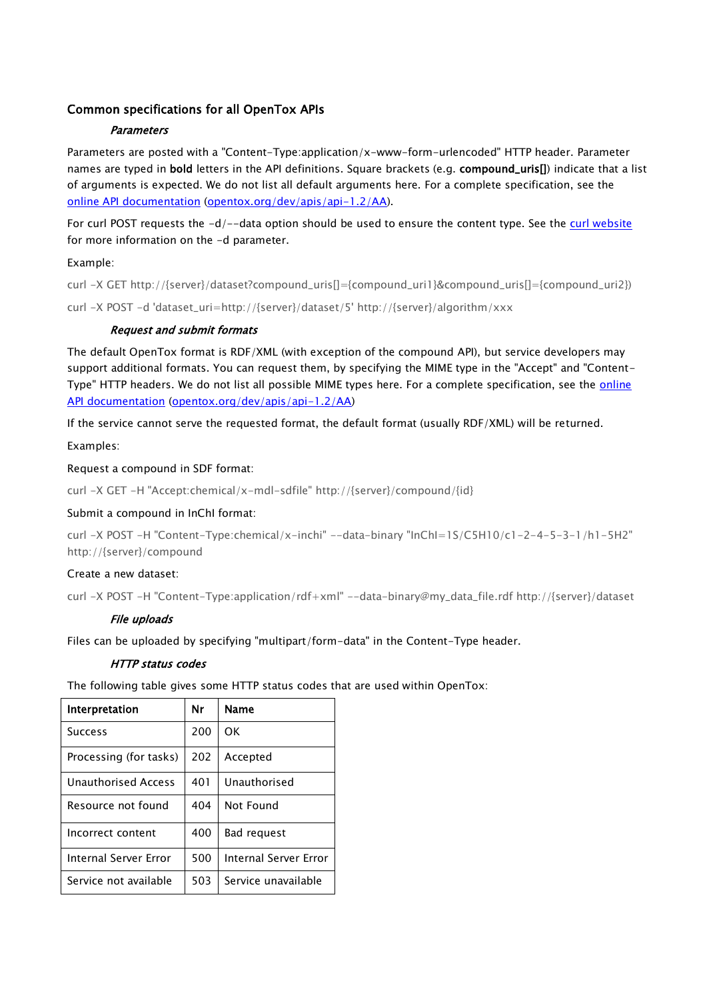#### <span id="page-13-0"></span>Common specifications for all OpenTox APIs

#### Parameters

Parameters are posted with a "Content-Type:application/x-www-form-urlencoded" HTTP header. Parameter names are typed in bold letters in the API definitions. Square brackets (e.g. compound\_uris[]) indicate that a list of arguments is expected. We do not list all default arguments here. For a complete specification, see the [online API documentation](http://opentox.org/dev/apis/api-1.2/AA) [\(opentox.org/dev/apis/api-1.2/AA\)](http://opentox.org/dev/apis/api-1.2/AA).

For curl POST requests the  $-d/-$ -data option should be used to ensure the content type. See the [curl website](http://curl.haxx.se/docs/manpage.html#-d--data) for more information on the -d parameter.

#### Example:

curl -X GET http://{server}/dataset?compound\_uris[]={compound\_uri1}&compound\_uris[]={compound\_uri2}) curl -X POST -d 'dataset\_uri=http://{server}/dataset/5' http://{server}/algorithm/xxx

#### Request and submit formats

The default OpenTox format is RDF/XML (with exception of the compound API), but service developers may support additional formats. You can request them, by specifying the MIME type in the "Accept" and "Content-Type" HTTP headers. We do not list all possible MIME types here. For a complete specification, see the *online* [API documentation](http://opentox.org/dev/apis/api-1.2/AA) [\(opentox.org/dev/apis/api-1.2/AA\)](http://opentox.org/dev/apis/api-1.2/AA)

If the service cannot serve the requested format, the default format (usually RDF/XML) will be returned.

Examples:

Request a compound in SDF format:

curl -X GET -H "Accept:chemical/x-mdl-sdfile" http://{server}/compound/{id}

Submit a compound in InChI format:

curl -X POST -H "Content-Type:chemical/x-inchi" --data-binary "InChI=1S/C5H10/c1-2-4-5-3-1/h1-5H2" http://{server}/compound

#### Create a new dataset:

curl -X POST -H "Content-Type:application/rdf+xml" --data-binary@my\_data\_file.rdf http://{server}/dataset

#### File uploads

Files can be uploaded by specifying "multipart/form-data" in the Content-Type header.

#### HTTP status codes

The following table gives some HTTP status codes that are used within OpenTox:

| Interpretation         | Nr  | Name                         |
|------------------------|-----|------------------------------|
| <b>Success</b>         | 200 | ΩK                           |
| Processing (for tasks) | 202 | Accepted                     |
| Unauthorised Access    | 401 | Unauthorised                 |
| Resource not found     | 404 | Not Found                    |
| Incorrect content      | 400 | Bad request                  |
| Internal Server Frror  | 500 | <b>Internal Server Frror</b> |
| Service not available  | 503 | Service unavailable          |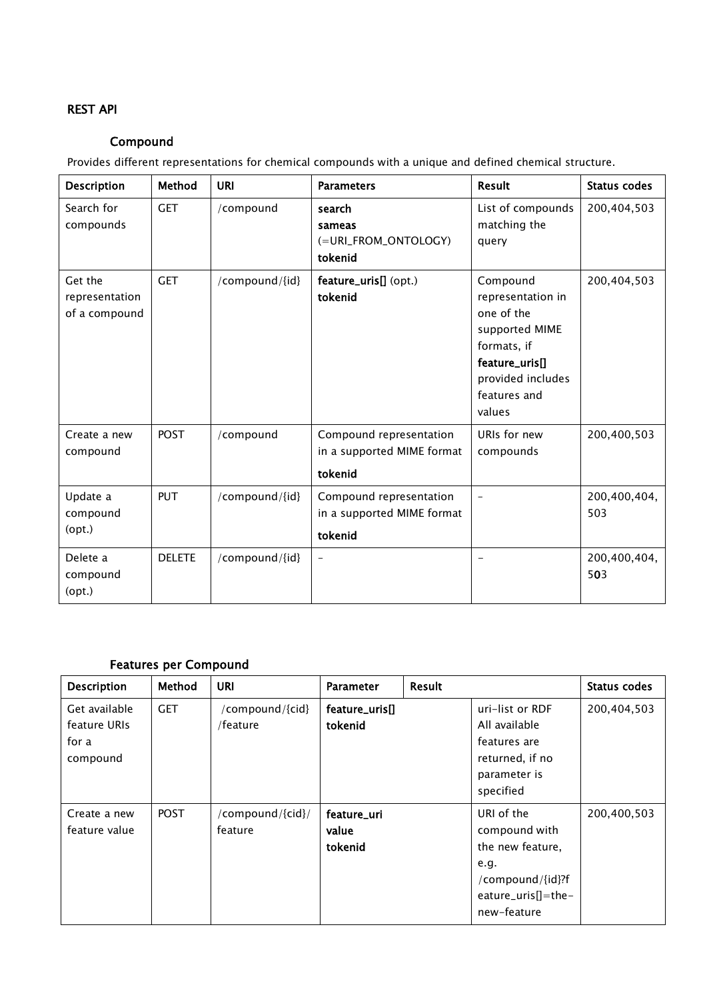## <span id="page-14-1"></span><span id="page-14-0"></span>REST API

# Compound

Provides different representations for chemical compounds with a unique and defined chemical structure.

| <b>Description</b>                         | Method        | <b>URI</b>     | <b>Parameters</b>                                                | <b>Result</b>                                                                                                                                 | <b>Status codes</b> |
|--------------------------------------------|---------------|----------------|------------------------------------------------------------------|-----------------------------------------------------------------------------------------------------------------------------------------------|---------------------|
| Search for<br>compounds                    | <b>GET</b>    | /compound      | search<br>sameas<br>(=URI_FROM_ONTOLOGY)<br>tokenid              | List of compounds<br>matching the<br>query                                                                                                    | 200,404,503         |
| Get the<br>representation<br>of a compound | <b>GET</b>    | /compound/{id} | feature_uris[] (opt.)<br>tokenid                                 | Compound<br>representation in<br>one of the<br>supported MIME<br>formats, if<br>feature_uris[]<br>provided includes<br>features and<br>values | 200,404,503         |
| Create a new<br>compound                   | <b>POST</b>   | /compound      | Compound representation<br>in a supported MIME format<br>tokenid | URIs for new<br>compounds                                                                                                                     | 200,400,503         |
| Update a<br>compound<br>(opt.)             | <b>PUT</b>    | /compound/{id} | Compound representation<br>in a supported MIME format<br>tokenid |                                                                                                                                               | 200,400,404,<br>503 |
| Delete a<br>compound<br>(opt.)             | <b>DELETE</b> | /compound/{id} | $\overline{\phantom{a}}$                                         |                                                                                                                                               | 200,400,404,<br>503 |

# Features per Compound

<span id="page-14-2"></span>

| <b>Description</b>                                 | Method      | <b>URI</b>                  | <b>Parameter</b>                | Result |                                                                                                                  | <b>Status codes</b> |
|----------------------------------------------------|-------------|-----------------------------|---------------------------------|--------|------------------------------------------------------------------------------------------------------------------|---------------------|
| Get available<br>feature URIs<br>for a<br>compound | <b>GET</b>  | /compound/{cid}<br>/feature | feature_uris[]<br>tokenid       |        | uri-list or RDF<br>All available<br>features are<br>returned, if no<br>parameter is<br>specified                 | 200,404,503         |
| Create a new<br>feature value                      | <b>POST</b> | /compound/{cid}/<br>feature | feature_uri<br>value<br>tokenid |        | URI of the<br>compound with<br>the new feature,<br>e.q.<br>/compound/{id}?f<br>eature_uris[]=the-<br>new-feature | 200,400,503         |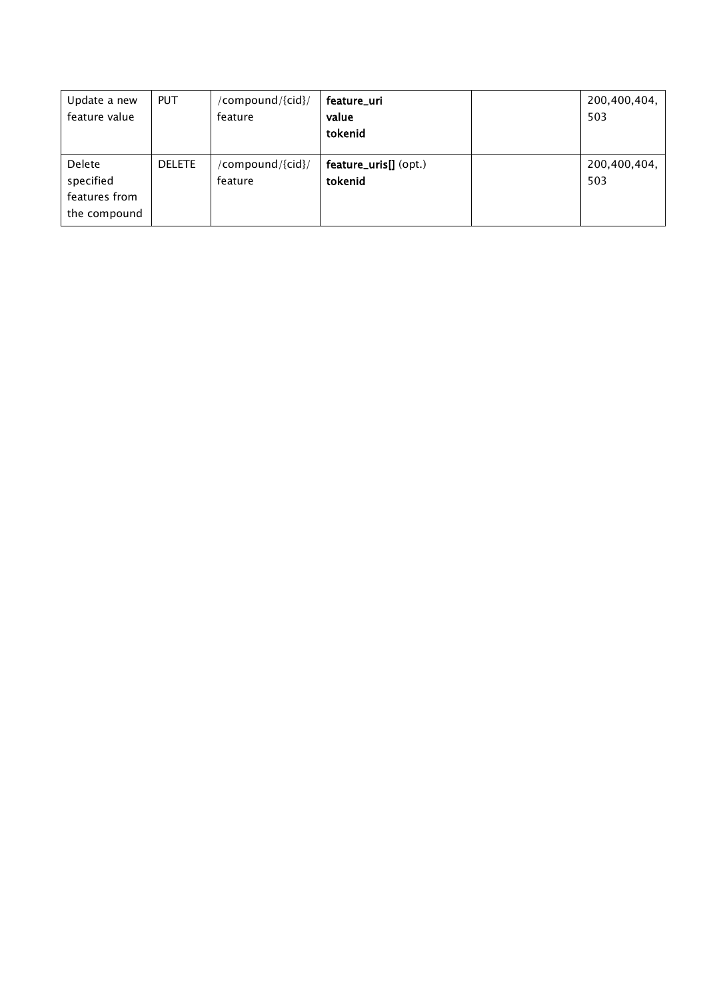| Update a new<br>feature value                        | <b>PUT</b>    | /compound/{cid}/<br>feature | feature_uri<br>value<br>tokenid  | 200,400,404,<br>503 |
|------------------------------------------------------|---------------|-----------------------------|----------------------------------|---------------------|
| Delete<br>specified<br>features from<br>the compound | <b>DELETE</b> | /compound/{cid}/<br>feature | feature_uris[] (opt.)<br>tokenid | 200,400,404,<br>503 |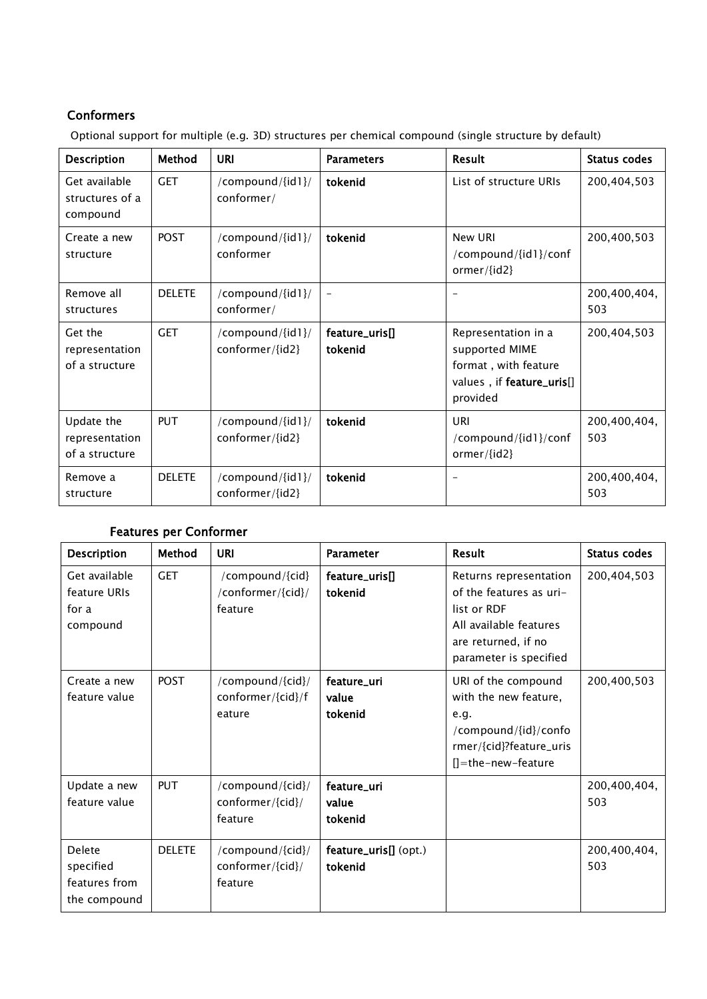# <span id="page-16-0"></span>**Conformers**

Optional support for multiple (e.g. 3D) structures per chemical compound (single structure by default)

| <b>Description</b>                             | <b>Method</b> | <b>URI</b>                              | <b>Parameters</b>         | <b>Result</b>                                                                                          | <b>Status codes</b> |
|------------------------------------------------|---------------|-----------------------------------------|---------------------------|--------------------------------------------------------------------------------------------------------|---------------------|
| Get available<br>structures of a<br>compound   | <b>GET</b>    | /compound/{id1}/<br>conformer/          | tokenid                   | List of structure URIs                                                                                 | 200,404,503         |
| Create a new<br>structure                      | <b>POST</b>   | /compound/{id1}/<br>conformer           | tokenid                   | New URI<br>/compound/{id1}/conf<br>ormer/ $\{id2\}$                                                    | 200,400,503         |
| Remove all<br>structures                       | <b>DELETE</b> | /compound/{id1}/<br>conformer/          | $\qquad \qquad -$         |                                                                                                        | 200,400,404,<br>503 |
| Get the<br>representation<br>of a structure    | <b>GET</b>    | /compound/{id1}/<br>conformer/{id2}     | feature_uris[]<br>tokenid | Representation in a<br>supported MIME<br>format, with feature<br>values, if feature_uris[]<br>provided | 200,404,503         |
| Update the<br>representation<br>of a structure | <b>PUT</b>    | /compound/{id1}/<br>conformer/{id2}     | tokenid                   | URI<br>/compound/{id1}/conf<br>ormer/ $\{id2\}$                                                        | 200,400,404,<br>503 |
| Remove a<br>structure                          | <b>DFIFTE</b> | /compound/{id1}/<br>$conformer/\{id2\}$ | tokenid                   |                                                                                                        | 200,400,404,<br>503 |

# Features per Conformer

<span id="page-16-1"></span>

| <b>Description</b>                                          | Method        | URI                                                 | <b>Parameter</b>                 | <b>Result</b>                                                                                                                               | <b>Status codes</b> |
|-------------------------------------------------------------|---------------|-----------------------------------------------------|----------------------------------|---------------------------------------------------------------------------------------------------------------------------------------------|---------------------|
| Get available<br>feature URIs<br>for a<br>compound          | <b>GET</b>    | /compound/{cid}<br>/conformer/{cid}/<br>feature     | feature_uris[]<br>tokenid        | Returns representation<br>of the features as uri-<br>list or RDF<br>All available features<br>are returned, if no<br>parameter is specified | 200,404,503         |
| Create a new<br>feature value                               | <b>POST</b>   | /compound/{cid}/<br>conformer/{cid}/f<br>eature     | feature_uri<br>value<br>tokenid  | URI of the compound<br>with the new feature,<br>e.q.<br>/compound/{id}/confo<br>rmer/{cid}?feature_uris<br>$[]$ =the-new-feature            | 200,400,503         |
| Update a new<br>feature value                               | <b>PUT</b>    | /compound/{cid}/<br>$conformer/\{cid\}/$<br>feature | feature_uri<br>value<br>tokenid  |                                                                                                                                             | 200,400,404,<br>503 |
| <b>Delete</b><br>specified<br>features from<br>the compound | <b>DELETE</b> | /compound/{cid}/<br>conformer/{cid}/<br>feature     | feature_uris[] (opt.)<br>tokenid |                                                                                                                                             | 200,400,404,<br>503 |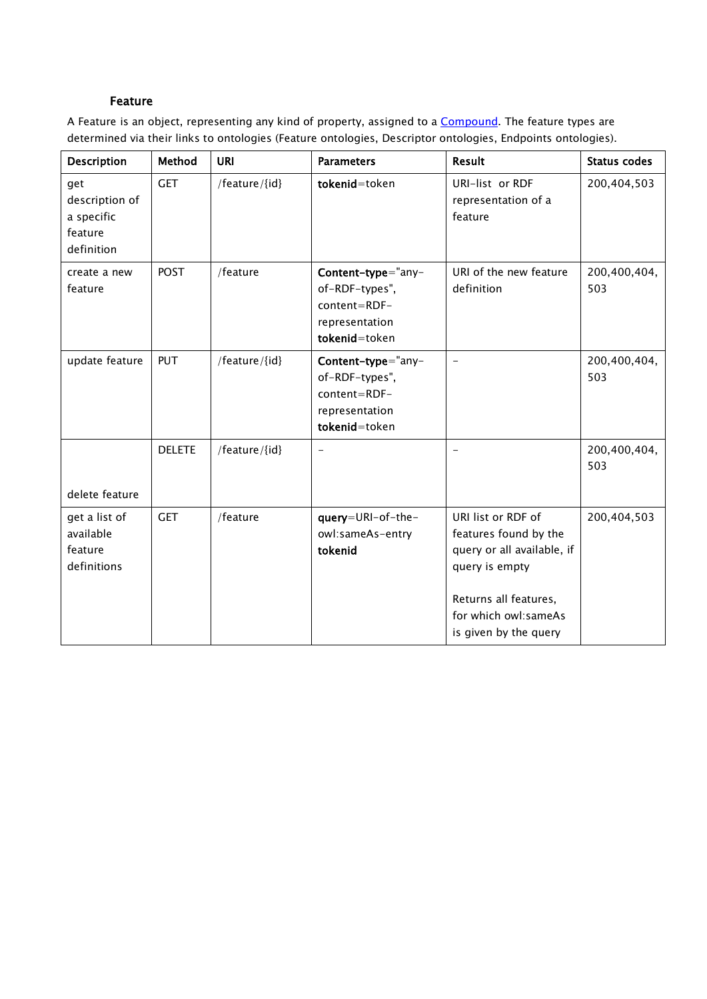## Feature

<span id="page-17-0"></span>A Feature is an object, representing any kind of property, assigned to a **Compound**. The feature types are determined via their links to ontologies (Feature ontologies, Descriptor ontologies, Endpoints ontologies).

| Description                                                  | Method        | <b>URI</b>    | <b>Parameters</b>                                                                       | Result                                                                                                                                                                | <b>Status codes</b> |
|--------------------------------------------------------------|---------------|---------------|-----------------------------------------------------------------------------------------|-----------------------------------------------------------------------------------------------------------------------------------------------------------------------|---------------------|
| get<br>description of<br>a specific<br>feature<br>definition | <b>GET</b>    | /feature/{id} | tokenid=token                                                                           | URI-list or RDF<br>representation of a<br>feature                                                                                                                     | 200,404,503         |
| create a new<br>feature                                      | <b>POST</b>   | /feature      | Content-type="any-<br>of-RDF-types",<br>content=RDF-<br>representation<br>tokenid=token | URI of the new feature<br>definition                                                                                                                                  | 200,400,404,<br>503 |
| update feature                                               | <b>PUT</b>    | /feature/{id} | Content-type="any-<br>of-RDF-types",<br>content=RDF-<br>representation<br>tokenid=token | $\qquad \qquad -$                                                                                                                                                     | 200,400,404,<br>503 |
| delete feature                                               | <b>DELETE</b> | /feature/{id} | $\qquad \qquad -$                                                                       | $\equiv$                                                                                                                                                              | 200,400,404,<br>503 |
| get a list of<br>available<br>feature<br>definitions         | <b>GET</b>    | /feature      | query=URI-of-the-<br>owl:sameAs-entry<br>tokenid                                        | URI list or RDF of<br>features found by the<br>query or all available, if<br>query is empty<br>Returns all features,<br>for which owl:sameAs<br>is given by the query | 200,404,503         |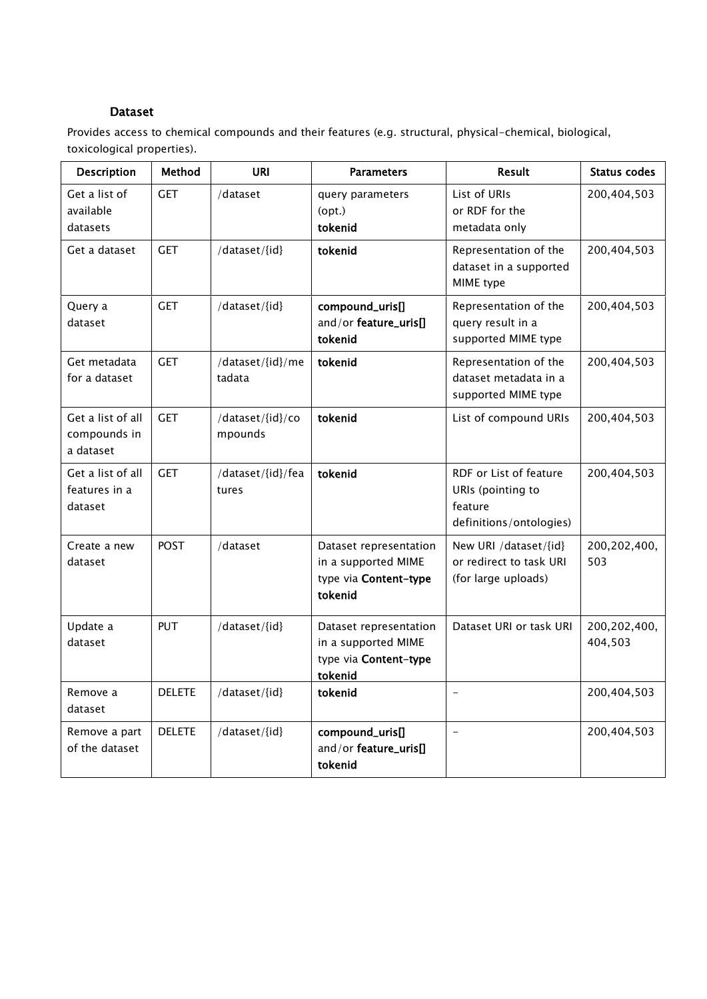## Dataset

<span id="page-18-0"></span>Provides access to chemical compounds and their features (e.g. structural, physical-chemical, biological, toxicological properties).

| <b>Description</b>                             | Method        | <b>URI</b>                  | <b>Parameters</b>                                                                 | Result                                                                            | <b>Status codes</b>       |
|------------------------------------------------|---------------|-----------------------------|-----------------------------------------------------------------------------------|-----------------------------------------------------------------------------------|---------------------------|
| Get a list of<br>available<br>datasets         | <b>GET</b>    | /dataset                    | query parameters<br>(opt.)<br>tokenid                                             | List of URIs<br>or RDF for the<br>metadata only                                   | 200,404,503               |
| Get a dataset                                  | <b>GET</b>    | /dataset/{id}               | tokenid                                                                           | Representation of the<br>dataset in a supported<br>MIME type                      | 200,404,503               |
| Query a<br>dataset                             | <b>GET</b>    | /dataset/{id}               | compound_uris[]<br>and/or feature_uris[]<br>tokenid                               | Representation of the<br>query result in a<br>supported MIME type                 | 200,404,503               |
| Get metadata<br>for a dataset                  | <b>GET</b>    | /dataset/{id}/me<br>tadata  | tokenid                                                                           | Representation of the<br>dataset metadata in a<br>supported MIME type             | 200,404,503               |
| Get a list of all<br>compounds in<br>a dataset | <b>GET</b>    | /dataset/{id}/co<br>mpounds | tokenid                                                                           | List of compound URIs                                                             | 200,404,503               |
| Get a list of all<br>features in a<br>dataset  | <b>GET</b>    | /dataset/{id}/fea<br>tures  | tokenid                                                                           | RDF or List of feature<br>URIs (pointing to<br>feature<br>definitions/ontologies) | 200,404,503               |
| Create a new<br>dataset                        | <b>POST</b>   | /dataset                    | Dataset representation<br>in a supported MIME<br>type via Content-type<br>tokenid | New URI /dataset/{id}<br>or redirect to task URI<br>(for large uploads)           | 200, 202, 400,<br>503     |
| Update a<br>dataset                            | <b>PUT</b>    | /dataset/{id}               | Dataset representation<br>in a supported MIME<br>type via Content-type<br>tokenid | Dataset URI or task URI                                                           | 200, 202, 400,<br>404,503 |
| Remove a<br>dataset                            | <b>DELETE</b> | /dataset/{id}               | tokenid                                                                           |                                                                                   | 200,404,503               |
| Remove a part<br>of the dataset                | <b>DELETE</b> | /dataset/{id}               | compound_uris[]<br>and/or feature_uris[]<br>tokenid                               | $\equiv$                                                                          | 200,404,503               |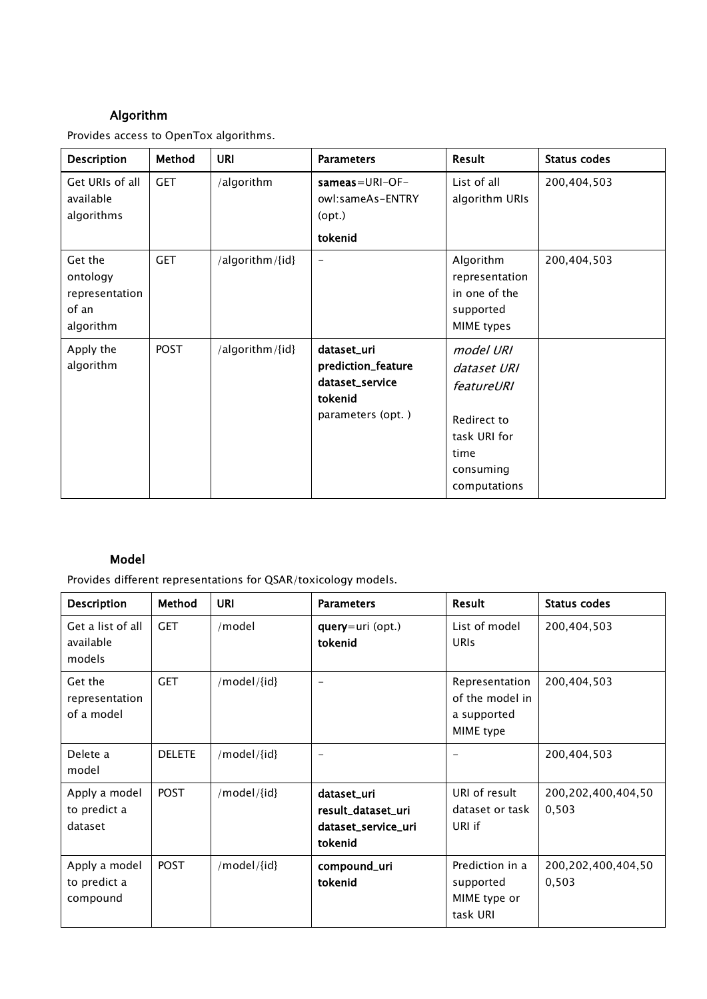# Algorithm

<span id="page-19-0"></span>Provides access to OpenTox algorithms.

| <b>Description</b>                                          | <b>Method</b> | <b>URI</b>      | <b>Parameters</b>                                                                    | Result                                                                                                            | <b>Status codes</b> |
|-------------------------------------------------------------|---------------|-----------------|--------------------------------------------------------------------------------------|-------------------------------------------------------------------------------------------------------------------|---------------------|
| Get URIs of all<br>available<br>algorithms                  | <b>GET</b>    | /algorithm      | $sameas = URL - OF -owl:sameAs-ENTRY(opt.)$                                          | List of all<br>algorithm URIs                                                                                     | 200,404,503         |
| Get the<br>ontology<br>representation<br>of an<br>algorithm | <b>GET</b>    | /algorithm/{id} | tokenid<br>-                                                                         | Algorithm<br>representation<br>in one of the<br>supported<br>MIME types                                           | 200,404,503         |
| Apply the<br>algorithm                                      | <b>POST</b>   | /algorithm/{id} | dataset_uri<br>prediction_feature<br>dataset_service<br>tokenid<br>parameters (opt.) | model URI<br>dataset URI<br><i>featureURI</i><br>Redirect to<br>task URI for<br>time<br>consuming<br>computations |                     |

## Model

<span id="page-19-1"></span>Provides different representations for QSAR/toxicology models.

| <b>Description</b>                        | Method        | URI         | <b>Parameters</b>                                                   | Result                                                        | Status codes                    |
|-------------------------------------------|---------------|-------------|---------------------------------------------------------------------|---------------------------------------------------------------|---------------------------------|
| Get a list of all<br>available<br>models  | <b>GET</b>    | /model      | query=uri (opt.)<br>tokenid                                         | List of model<br><b>URIS</b>                                  | 200,404,503                     |
| Get the<br>representation<br>of a model   | <b>GET</b>    | /model/{id} |                                                                     | Representation<br>of the model in<br>a supported<br>MIME type | 200,404,503                     |
| Delete a<br>model                         | <b>DELETE</b> | /model/{id} |                                                                     |                                                               | 200,404,503                     |
| Apply a model<br>to predict a<br>dataset  | <b>POST</b>   | /model/{id} | dataset_uri<br>result_dataset_uri<br>dataset_service_uri<br>tokenid | URI of result<br>dataset or task<br>URI if                    | 200, 202, 400, 404, 50<br>0,503 |
| Apply a model<br>to predict a<br>compound | <b>POST</b>   | /model/{id} | compound_uri<br>tokenid                                             | Prediction in a<br>supported<br>MIME type or<br>task URI      | 200, 202, 400, 404, 50<br>0,503 |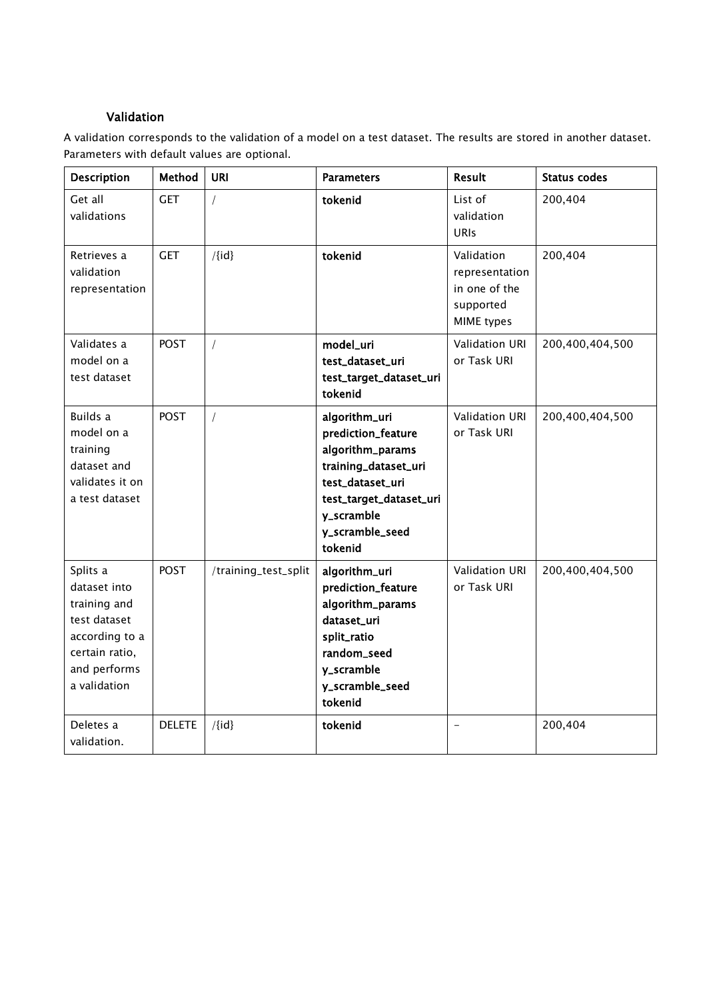## Validation

<span id="page-20-0"></span>A validation corresponds to the validation of a model on a test dataset. The results are stored in another dataset. Parameters with default values are optional.

| <b>Description</b>                                                                                                           | <b>Method</b> | <b>URI</b>           | <b>Parameters</b>                                                                                                                                                          | <b>Result</b>                                                            | <b>Status codes</b> |
|------------------------------------------------------------------------------------------------------------------------------|---------------|----------------------|----------------------------------------------------------------------------------------------------------------------------------------------------------------------------|--------------------------------------------------------------------------|---------------------|
| Get all<br>validations                                                                                                       | <b>GET</b>    | $\sqrt{2}$           | tokenid                                                                                                                                                                    | List of<br>validation<br><b>URIS</b>                                     | 200,404             |
| Retrieves a<br>validation<br>representation                                                                                  | <b>GET</b>    | $/\{id\}$            | tokenid                                                                                                                                                                    | Validation<br>representation<br>in one of the<br>supported<br>MIME types | 200,404             |
| Validates a<br>model on a<br>test dataset                                                                                    | <b>POST</b>   | $\sqrt{ }$           | model_uri<br>test_dataset_uri<br>test_target_dataset_uri<br>tokenid                                                                                                        | Validation URI<br>or Task URI                                            | 200,400,404,500     |
| Builds a<br>model on a<br>training<br>dataset and<br>validates it on<br>a test dataset                                       | <b>POST</b>   | $\sqrt{2}$           | algorithm_uri<br>prediction_feature<br>algorithm_params<br>training_dataset_uri<br>test_dataset_uri<br>test_target_dataset_uri<br>y_scramble<br>y_scramble_seed<br>tokenid | Validation URI<br>or Task URI                                            | 200,400,404,500     |
| Splits a<br>dataset into<br>training and<br>test dataset<br>according to a<br>certain ratio,<br>and performs<br>a validation | <b>POST</b>   | /training_test_split | algorithm_uri<br>prediction_feature<br>algorithm_params<br>dataset_uri<br>split_ratio<br>random_seed<br>y_scramble<br>y_scramble_seed<br>tokenid                           | Validation URI<br>or Task URI                                            | 200,400,404,500     |
| Deletes a<br>validation.                                                                                                     | <b>DELETE</b> | $/\{id\}$            | tokenid                                                                                                                                                                    |                                                                          | 200,404             |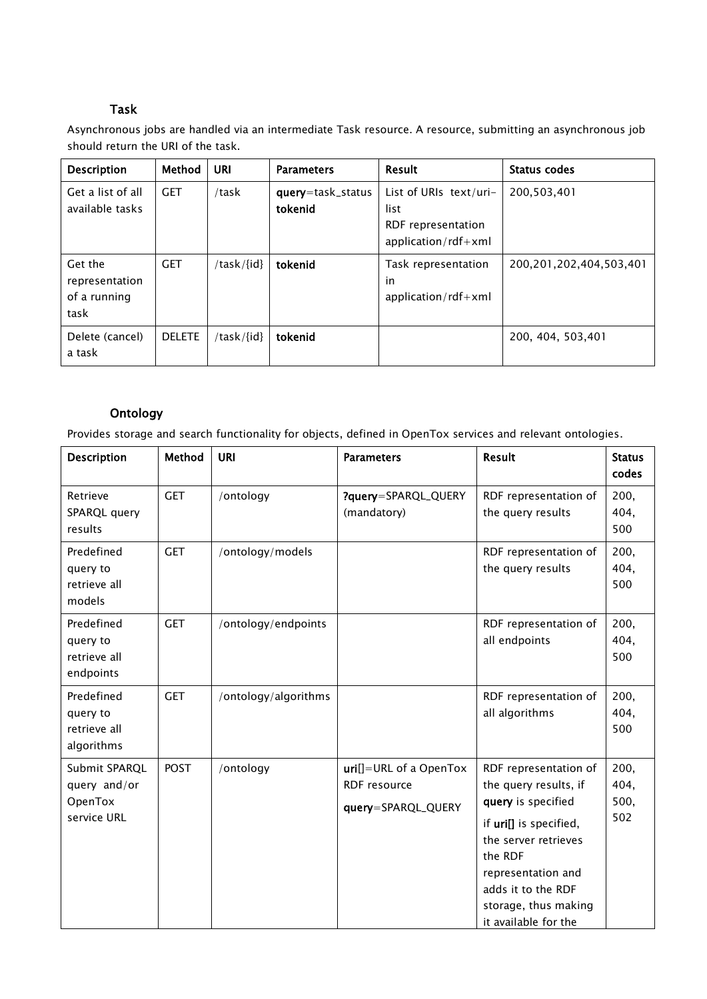# Task

<span id="page-21-0"></span>Asynchronous jobs are handled via an intermediate Task resource. A resource, submitting an asynchronous job should return the URI of the task.

| <b>Description</b>                                | Method        | URI        | <b>Parameters</b>            | Result                                                                      | <b>Status codes</b>          |
|---------------------------------------------------|---------------|------------|------------------------------|-----------------------------------------------------------------------------|------------------------------|
| Get a list of all<br>available tasks              | <b>GET</b>    | /task      | query=task_status<br>tokenid | List of URIs text/uri-<br>list<br>RDF representation<br>application/rdf+xml | 200,503,401                  |
| Get the<br>representation<br>of a running<br>task | <b>GET</b>    | /task/{id} | tokenid                      | Task representation<br>in<br>application/rdf+xml                            | 200, 201, 202, 404, 503, 401 |
| Delete (cancel)<br>a task                         | <b>DELETE</b> | /task/{id} | tokenid                      |                                                                             | 200.404.503.401              |

# **Ontology**

<span id="page-21-1"></span>Provides storage and search functionality for objects, defined in OpenTox services and relevant ontologies.

| Description                                             | Method      | <b>URI</b>           | <b>Parameters</b>                                                       | <b>Result</b>                                                                                                                                                                                                                 | <b>Status</b><br>codes      |
|---------------------------------------------------------|-------------|----------------------|-------------------------------------------------------------------------|-------------------------------------------------------------------------------------------------------------------------------------------------------------------------------------------------------------------------------|-----------------------------|
| Retrieve<br>SPARQL query<br>results                     | <b>GET</b>  | /ontology            | ?query=SPARQL_QUERY<br>(mandatory)                                      | RDF representation of<br>the query results                                                                                                                                                                                    | 200,<br>404,<br>500         |
| Predefined<br>query to<br>retrieve all<br>models        | <b>GET</b>  | /ontology/models     |                                                                         | RDF representation of<br>the query results                                                                                                                                                                                    | 200,<br>404,<br>500         |
| Predefined<br>query to<br>retrieve all<br>endpoints     | <b>GET</b>  | /ontology/endpoints  |                                                                         | RDF representation of<br>all endpoints                                                                                                                                                                                        | 200,<br>404,<br>500         |
| Predefined<br>query to<br>retrieve all<br>algorithms    | <b>GET</b>  | /ontology/algorithms |                                                                         | RDF representation of<br>all algorithms                                                                                                                                                                                       | 200,<br>404,<br>500         |
| Submit SPARQL<br>query and/or<br>OpenTox<br>service URL | <b>POST</b> | /ontology            | $uri[] = \text{URL of a OpenTox}$<br>RDF resource<br>query=SPARQL_QUERY | RDF representation of<br>the query results, if<br>query is specified<br>if urill is specified,<br>the server retrieves<br>the RDF<br>representation and<br>adds it to the RDF<br>storage, thus making<br>it available for the | 200,<br>404,<br>500,<br>502 |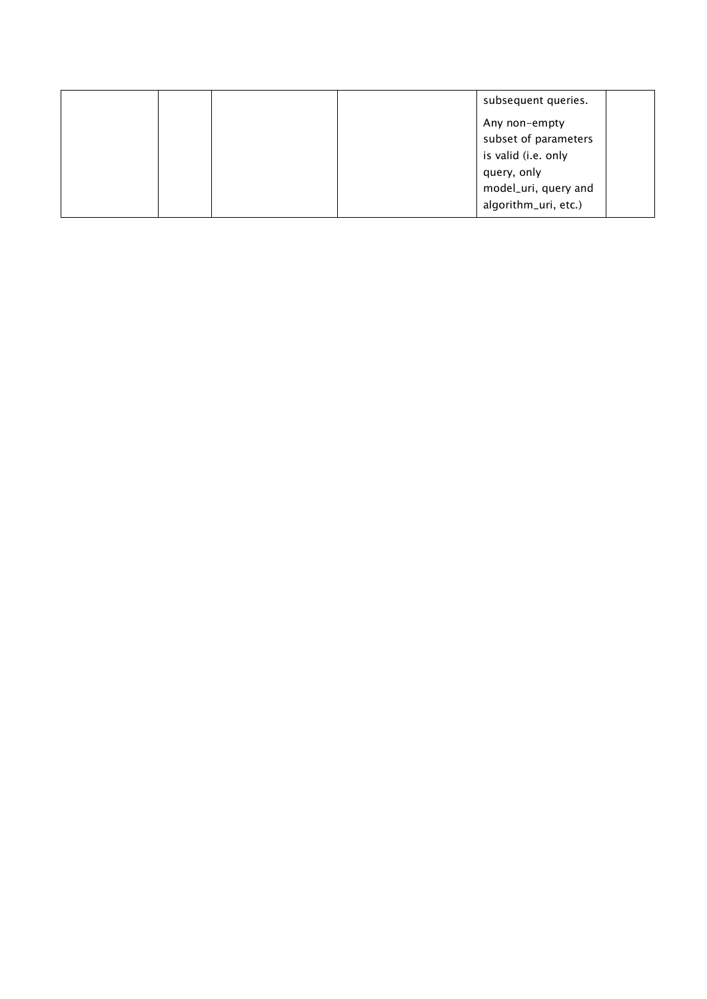|  | subsequent queries.  |  |
|--|----------------------|--|
|  | Any non-empty        |  |
|  | subset of parameters |  |
|  | is valid (i.e. only  |  |
|  | query, only          |  |
|  | model_uri, query and |  |
|  | algorithm_uri, etc.) |  |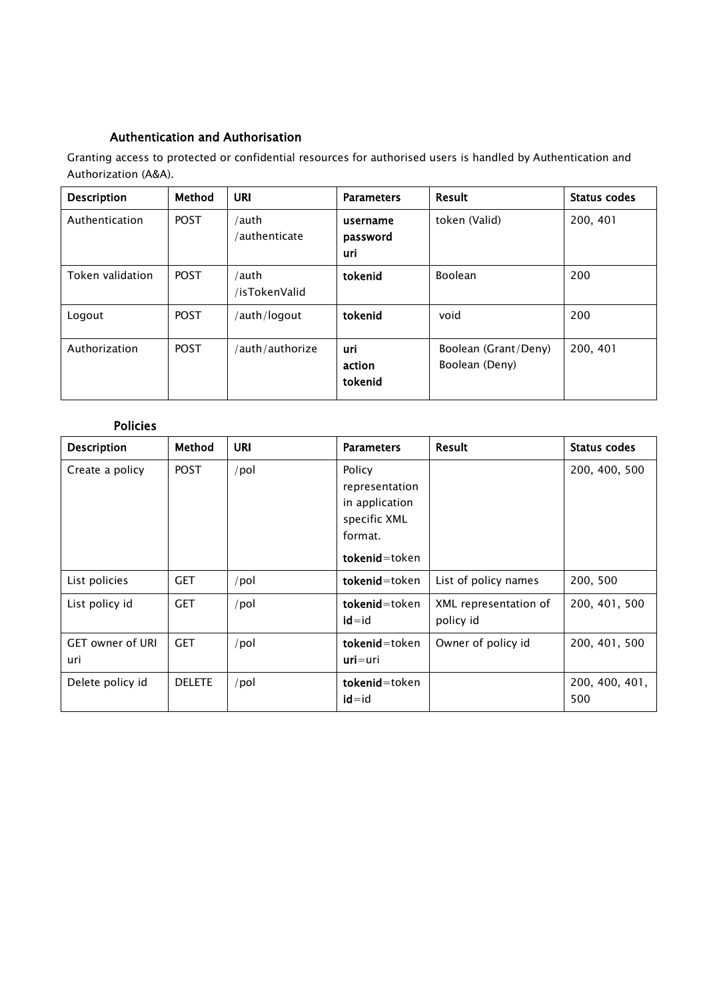## Authentication and Authorisation

<span id="page-23-0"></span>Granting access to protected or confidential resources for authorised users is handled by Authentication and Authorization (A&A).

| <b>Description</b> | Method      | URI                    | <b>Parameters</b>           | Result                                 | Status codes |
|--------------------|-------------|------------------------|-----------------------------|----------------------------------------|--------------|
| Authentication     | <b>POST</b> | /auth<br>/authenticate | username<br>password<br>uri | token (Valid)                          | 200, 401     |
| Token validation   | <b>POST</b> | /auth<br>/isTokenValid | tokenid                     | <b>Boolean</b>                         | 200          |
| Logout             | <b>POST</b> | /auth/logout           | tokenid                     | void                                   | 200          |
| Authorization      | <b>POST</b> | /auth/authorize        | uri<br>action<br>tokenid    | Boolean (Grant/Deny)<br>Boolean (Deny) | 200, 401     |

#### <span id="page-23-1"></span>Policies

| <b>Description</b>             | Method        | <b>URI</b>    | <b>Parameters</b>                                                                      | Result                             | Status codes          |
|--------------------------------|---------------|---------------|----------------------------------------------------------------------------------------|------------------------------------|-----------------------|
| Create a policy                | <b>POST</b>   | $\prime$ pol  | Policy<br>representation<br>in application<br>specific XML<br>format.<br>tokenid=token |                                    | 200, 400, 500         |
| List policies                  | <b>GET</b>    | $\sqrt{p}$ ol | tokenid=token                                                                          | List of policy names               | 200, 500              |
| List policy id                 | <b>GET</b>    | $\sqrt{pol}$  | tokenid=token<br>$id = id$                                                             | XML representation of<br>policy id | 200, 401, 500         |
| <b>GET owner of URI</b><br>uri | <b>GET</b>    | $\sqrt{pol}$  | tokenid=token<br>$uri=uri$                                                             | Owner of policy id                 | 200, 401, 500         |
| Delete policy id               | <b>DELETE</b> | $\prime$ pol  | tokenid=token<br>$id = id$                                                             |                                    | 200, 400, 401,<br>500 |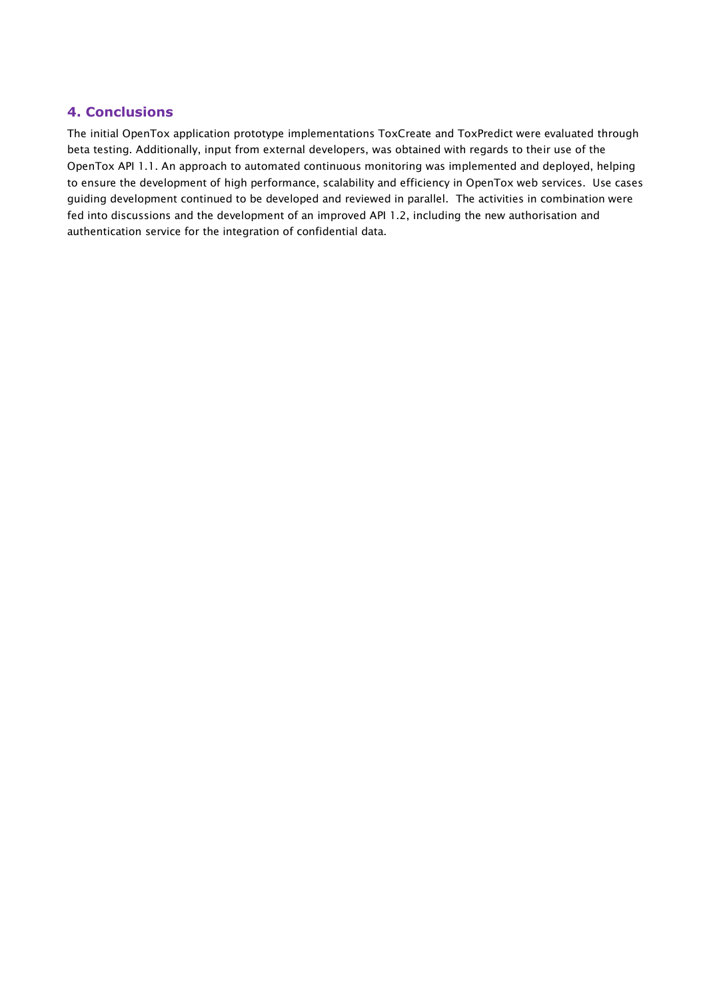#### <span id="page-24-0"></span>**4. Conclusions**

The initial OpenTox application prototype implementations ToxCreate and ToxPredict were evaluated through beta testing. Additionally, input from external developers, was obtained with regards to their use of the OpenTox API 1.1. An approach to automated continuous monitoring was implemented and deployed, helping to ensure the development of high performance, scalability and efficiency in OpenTox web services. Use cases guiding development continued to be developed and reviewed in parallel. The activities in combination were fed into discussions and the development of an improved API 1.2, including the new authorisation and authentication service for the integration of confidential data.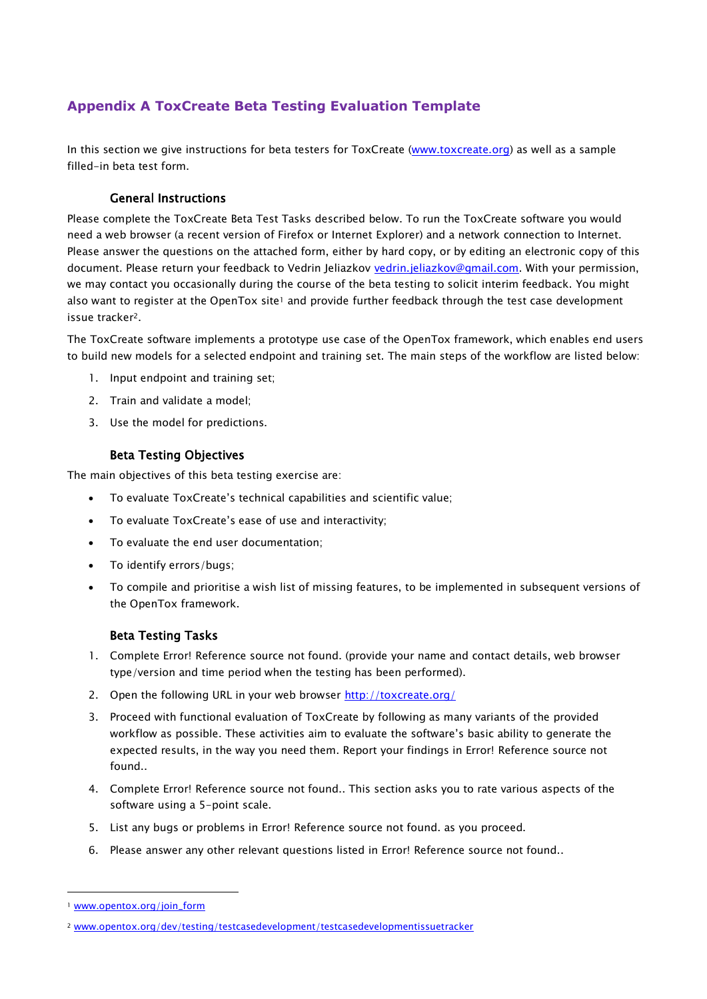# <span id="page-25-0"></span>**Appendix A ToxCreate Beta Testing Evaluation Template**

In this section we give instructions for beta testers for ToxCreate [\(www.toxcreate.org\)](http://www.toxcreate.org/) as well as a sample filled-in beta test form.

#### General Instructions

<span id="page-25-1"></span>Please complete the ToxCreate Beta Test Tasks described below. To run the ToxCreate software you would need a web browser (a recent version of Firefox or Internet Explorer) and a network connection to Internet. Please answer the questions on the attached form, either by hard copy, or by editing an electronic copy of this document. Please return your feedback to Vedrin Jeliazkov [vedrin.jeliazkov@gmail.com.](mailto:vedrin.jeliazkov@gmail.com) With your permission, we may contact you occasionally during the course of the beta testing to solicit interim feedback. You might also want to register at the OpenTox site<sup>1</sup> and provide further feedback through the test case development issue tracker2.

The ToxCreate software implements a prototype use case of the OpenTox framework, which enables end users to build new models for a selected endpoint and training set. The main steps of the workflow are listed below:

- 1. Input endpoint and training set;
- 2. Train and validate a model;
- <span id="page-25-2"></span>3. Use the model for predictions.

#### Beta Testing Objectives

The main objectives of this beta testing exercise are:

- To evaluate ToxCreate's technical capabilities and scientific value;
- To evaluate ToxCreate's ease of use and interactivity;
- To evaluate the end user documentation;
- To identify errors/bugs;
- To compile and prioritise a wish list of missing features, to be implemented in subsequent versions of the OpenTox framework.

#### Beta Testing Tasks

- <span id="page-25-3"></span>1. Complete Error! Reference source not found. (provide your name and contact details, web browser type/version and time period when the testing has been performed).
- 2. Open the following URL in your web browser<http://toxcreate.org/>
- 3. Proceed with functional evaluation of ToxCreate by following as many variants of the provided workflow as possible. These activities aim to evaluate the software's basic ability to generate the expected results, in the way you need them. Report your findings in Error! Reference source not found..
- 4. Complete Error! Reference source not found.. This section asks you to rate various aspects of the software using a 5-point scale.
- 5. List any bugs or problems in Error! Reference source not found. as you proceed.
- 6. Please answer any other relevant questions listed in Error! Reference source not found..

-

<sup>1</sup> [www.opentox.org/join\\_form](http://www.opentox.org/join_form)

<sup>&</sup>lt;sup>2</sup> [www.opentox.org/dev/testing/testcasedevelopment/testcasedevelopmentissuetracker](http://www.opentox.org/dev/testing/testcasedevelopment/testcasedevelopmentissuetracker)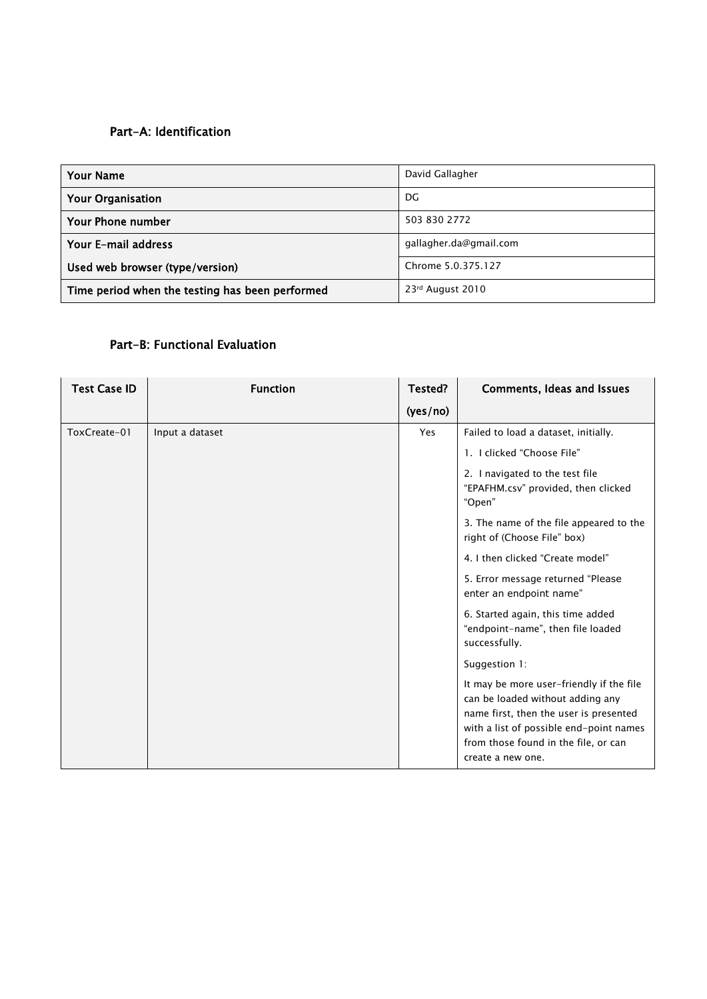## <span id="page-26-0"></span>Part-A: Identification

| <b>Your Name</b>                                | David Gallagher        |
|-------------------------------------------------|------------------------|
| <b>Your Organisation</b>                        | DG                     |
| Your Phone number                               | 503 830 2772           |
| Your E-mail address                             | gallagher.da@gmail.com |
| Used web browser (type/version)                 | Chrome 5.0.375.127     |
| Time period when the testing has been performed | 23rd August 2010       |

#### <span id="page-26-1"></span>Part-B: Functional Evaluation

| <b>Test Case ID</b> | <b>Function</b> | Tested?    | <b>Comments, Ideas and Issues</b>                                                                                                                                                                                              |
|---------------------|-----------------|------------|--------------------------------------------------------------------------------------------------------------------------------------------------------------------------------------------------------------------------------|
|                     |                 | (yes/no)   |                                                                                                                                                                                                                                |
| ToxCreate-01        | Input a dataset | <b>Yes</b> | Failed to load a dataset, initially.                                                                                                                                                                                           |
|                     |                 |            | 1. I clicked "Choose File"                                                                                                                                                                                                     |
|                     |                 |            | 2. I navigated to the test file<br>"EPAFHM.csv" provided, then clicked<br>"Open"                                                                                                                                               |
|                     |                 |            | 3. The name of the file appeared to the<br>right of (Choose File" box)                                                                                                                                                         |
|                     |                 |            | 4. I then clicked "Create model"                                                                                                                                                                                               |
|                     |                 |            | 5. Error message returned "Please<br>enter an endpoint name"                                                                                                                                                                   |
|                     |                 |            | 6. Started again, this time added<br>"endpoint-name", then file loaded<br>successfully.                                                                                                                                        |
|                     |                 |            | Suggestion 1:                                                                                                                                                                                                                  |
|                     |                 |            | It may be more user-friendly if the file<br>can be loaded without adding any<br>name first, then the user is presented<br>with a list of possible end-point names<br>from those found in the file, or can<br>create a new one. |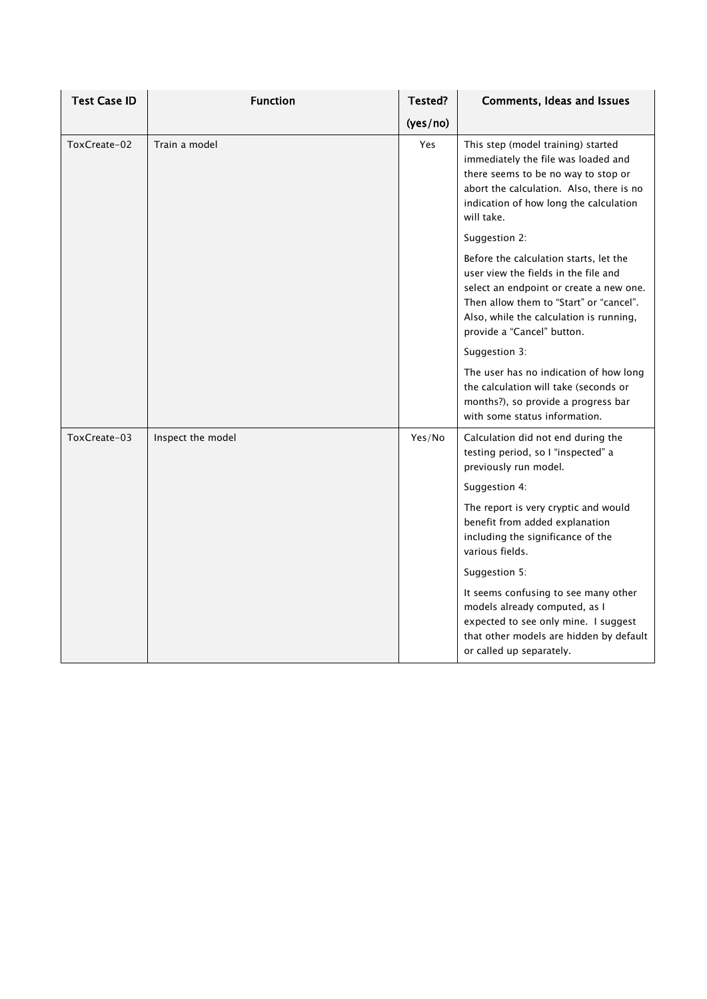| <b>Test Case ID</b> | <b>Function</b>   | Tested?  | Comments, Ideas and Issues                                                                                                                                                                                                            |
|---------------------|-------------------|----------|---------------------------------------------------------------------------------------------------------------------------------------------------------------------------------------------------------------------------------------|
|                     |                   | (yes/no) |                                                                                                                                                                                                                                       |
| ToxCreate-02        | Train a model     | Yes      | This step (model training) started<br>immediately the file was loaded and<br>there seems to be no way to stop or<br>abort the calculation. Also, there is no<br>indication of how long the calculation<br>will take.<br>Suggestion 2: |
|                     |                   |          | Before the calculation starts, let the<br>user view the fields in the file and                                                                                                                                                        |
|                     |                   |          | select an endpoint or create a new one.<br>Then allow them to "Start" or "cancel".<br>Also, while the calculation is running,<br>provide a "Cancel" button.                                                                           |
|                     |                   |          | Suggestion 3:                                                                                                                                                                                                                         |
|                     |                   |          | The user has no indication of how long<br>the calculation will take (seconds or<br>months?), so provide a progress bar<br>with some status information.                                                                               |
| ToxCreate-03        | Inspect the model | Yes/No   | Calculation did not end during the<br>testing period, so I "inspected" a<br>previously run model.                                                                                                                                     |
|                     |                   |          | Suggestion 4:                                                                                                                                                                                                                         |
|                     |                   |          | The report is very cryptic and would<br>benefit from added explanation<br>including the significance of the<br>various fields.                                                                                                        |
|                     |                   |          | Suggestion 5:                                                                                                                                                                                                                         |
|                     |                   |          | It seems confusing to see many other<br>models already computed, as I<br>expected to see only mine. I suggest<br>that other models are hidden by default<br>or called up separately.                                                  |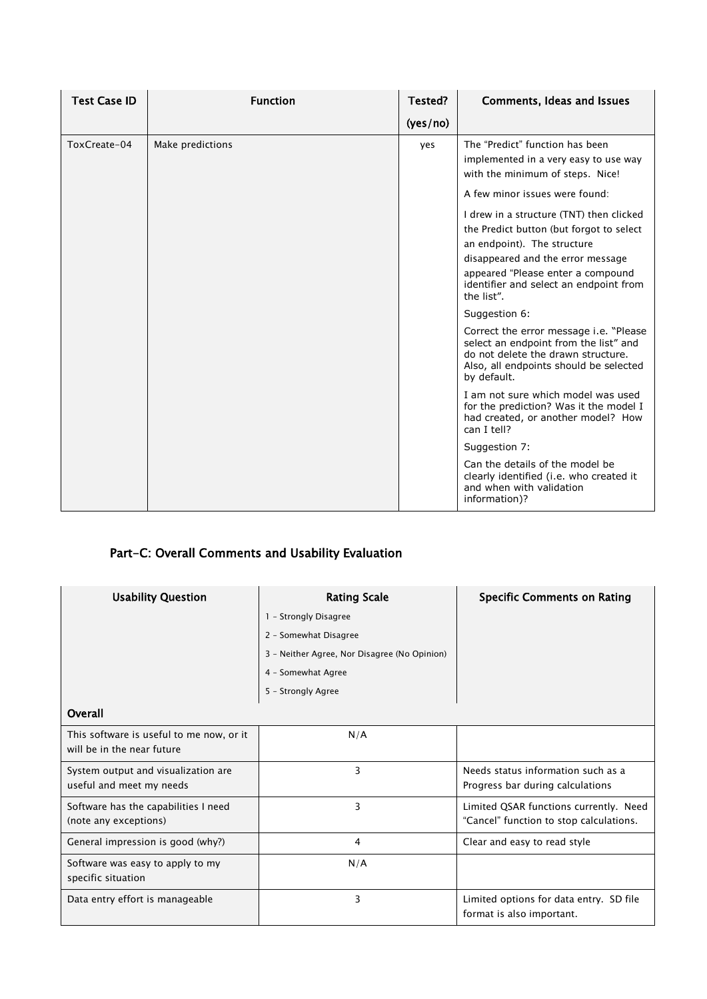| <b>Test Case ID</b> | <b>Function</b>  | Tested?  | <b>Comments, Ideas and Issues</b>                                                                                                                                                                                                                                                                          |
|---------------------|------------------|----------|------------------------------------------------------------------------------------------------------------------------------------------------------------------------------------------------------------------------------------------------------------------------------------------------------------|
|                     |                  | (yes/no) |                                                                                                                                                                                                                                                                                                            |
| ToxCreate-04        | Make predictions | yes      | The "Predict" function has been<br>implemented in a very easy to use way<br>with the minimum of steps. Nice!<br>A few minor issues were found:<br>I drew in a structure (TNT) then clicked<br>the Predict button (but forgot to select<br>an endpoint). The structure<br>disappeared and the error message |
|                     |                  |          | appeared "Please enter a compound<br>identifier and select an endpoint from<br>the list".                                                                                                                                                                                                                  |
|                     |                  |          | Suggestion 6:                                                                                                                                                                                                                                                                                              |
|                     |                  |          | Correct the error message i.e. "Please<br>select an endpoint from the list" and<br>do not delete the drawn structure.<br>Also, all endpoints should be selected<br>by default.                                                                                                                             |
|                     |                  |          | I am not sure which model was used<br>for the prediction? Was it the model I<br>had created, or another model? How<br>can I tell?                                                                                                                                                                          |
|                     |                  |          | Suggestion 7:                                                                                                                                                                                                                                                                                              |
|                     |                  |          | Can the details of the model be<br>clearly identified (i.e. who created it<br>and when with validation<br>information)?                                                                                                                                                                                    |

# <span id="page-28-0"></span>Part-C: Overall Comments and Usability Evaluation

| <b>Usability Question</b>                                              | <b>Rating Scale</b>                          | <b>Specific Comments on Rating</b>                                                |
|------------------------------------------------------------------------|----------------------------------------------|-----------------------------------------------------------------------------------|
|                                                                        | 1 - Strongly Disagree                        |                                                                                   |
|                                                                        | 2 - Somewhat Disagree                        |                                                                                   |
|                                                                        | 3 - Neither Agree, Nor Disagree (No Opinion) |                                                                                   |
|                                                                        | 4 - Somewhat Agree                           |                                                                                   |
|                                                                        | 5 - Strongly Agree                           |                                                                                   |
| Overall                                                                |                                              |                                                                                   |
| This software is useful to me now, or it<br>will be in the near future | N/A                                          |                                                                                   |
| System output and visualization are<br>useful and meet my needs        | 3                                            | Needs status information such as a<br>Progress bar during calculations            |
| Software has the capabilities I need<br>(note any exceptions)          | 3                                            | Limited QSAR functions currently. Need<br>"Cancel" function to stop calculations. |
| General impression is good (why?)                                      | 4                                            | Clear and easy to read style                                                      |
| Software was easy to apply to my<br>specific situation                 | N/A                                          |                                                                                   |
| Data entry effort is manageable                                        | 3                                            | Limited options for data entry. SD file<br>format is also important.              |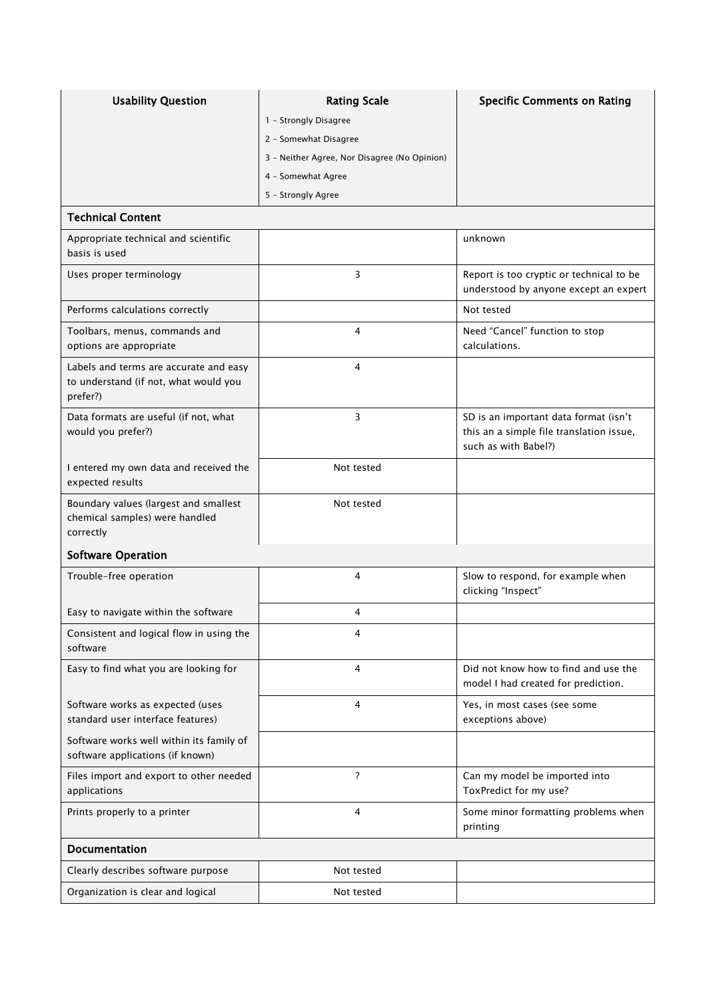| <b>Usability Question</b>                                                                   | <b>Rating Scale</b>                          | <b>Specific Comments on Rating</b>                                                                        |  |  |
|---------------------------------------------------------------------------------------------|----------------------------------------------|-----------------------------------------------------------------------------------------------------------|--|--|
|                                                                                             | 1 - Strongly Disagree                        |                                                                                                           |  |  |
|                                                                                             | 2 - Somewhat Disagree                        |                                                                                                           |  |  |
|                                                                                             | 3 - Neither Agree, Nor Disagree (No Opinion) |                                                                                                           |  |  |
|                                                                                             | 4 - Somewhat Agree                           |                                                                                                           |  |  |
|                                                                                             | 5 - Strongly Agree                           |                                                                                                           |  |  |
| <b>Technical Content</b>                                                                    |                                              |                                                                                                           |  |  |
| Appropriate technical and scientific<br>basis is used                                       |                                              | unknown                                                                                                   |  |  |
| Uses proper terminology                                                                     | 3                                            | Report is too cryptic or technical to be<br>understood by anyone except an expert                         |  |  |
| Performs calculations correctly                                                             |                                              | Not tested                                                                                                |  |  |
| Toolbars, menus, commands and<br>options are appropriate                                    | 4                                            | Need "Cancel" function to stop<br>calculations.                                                           |  |  |
| Labels and terms are accurate and easy<br>to understand (if not, what would you<br>prefer?) | 4                                            |                                                                                                           |  |  |
| Data formats are useful (if not, what<br>would you prefer?)                                 | 3                                            | SD is an important data format (isn't<br>this an a simple file translation issue,<br>such as with Babel?) |  |  |
| I entered my own data and received the<br>expected results                                  | Not tested                                   |                                                                                                           |  |  |
| Boundary values (largest and smallest<br>chemical samples) were handled<br>correctly        | Not tested                                   |                                                                                                           |  |  |
| <b>Software Operation</b>                                                                   |                                              |                                                                                                           |  |  |
| Trouble-free operation                                                                      | $\overline{4}$                               | Slow to respond, for example when<br>clicking "Inspect"                                                   |  |  |
| Easy to navigate within the software                                                        | 4                                            |                                                                                                           |  |  |
| Consistent and logical flow in using the<br>software                                        | 4                                            |                                                                                                           |  |  |
| Easy to find what you are looking for                                                       | 4                                            | Did not know how to find and use the<br>model I had created for prediction.                               |  |  |
| Software works as expected (uses<br>standard user interface features)                       | 4                                            | Yes, in most cases (see some<br>exceptions above)                                                         |  |  |
| Software works well within its family of<br>software applications (if known)                |                                              |                                                                                                           |  |  |
| Files import and export to other needed<br>applications                                     | $\overline{?}$                               | Can my model be imported into<br>ToxPredict for my use?                                                   |  |  |
| Prints properly to a printer                                                                | 4                                            | Some minor formatting problems when<br>printing                                                           |  |  |
| Documentation                                                                               |                                              |                                                                                                           |  |  |
| Clearly describes software purpose                                                          | Not tested                                   |                                                                                                           |  |  |
| Organization is clear and logical                                                           | Not tested                                   |                                                                                                           |  |  |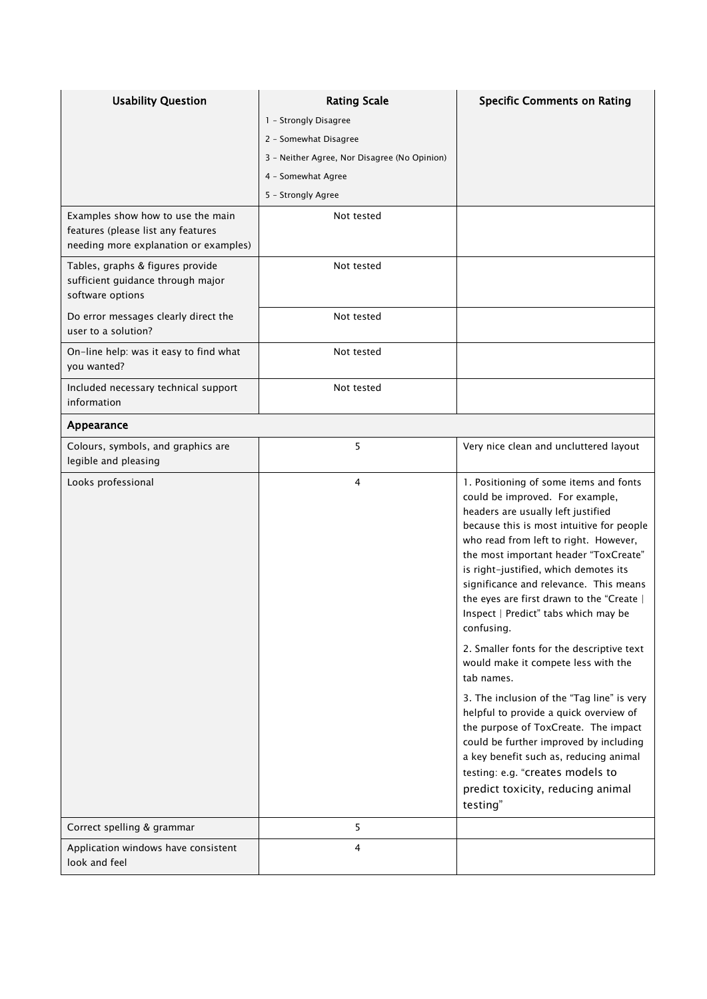| <b>Usability Question</b>                                                                                        | <b>Rating Scale</b>                          | <b>Specific Comments on Rating</b>                                                                                                                                                                                                                                                                                                                                                                                                                                                                                                                                                                                                                                                                                                                                                                                                              |
|------------------------------------------------------------------------------------------------------------------|----------------------------------------------|-------------------------------------------------------------------------------------------------------------------------------------------------------------------------------------------------------------------------------------------------------------------------------------------------------------------------------------------------------------------------------------------------------------------------------------------------------------------------------------------------------------------------------------------------------------------------------------------------------------------------------------------------------------------------------------------------------------------------------------------------------------------------------------------------------------------------------------------------|
|                                                                                                                  | 1 - Strongly Disagree                        |                                                                                                                                                                                                                                                                                                                                                                                                                                                                                                                                                                                                                                                                                                                                                                                                                                                 |
|                                                                                                                  | 2 - Somewhat Disagree                        |                                                                                                                                                                                                                                                                                                                                                                                                                                                                                                                                                                                                                                                                                                                                                                                                                                                 |
|                                                                                                                  | 3 - Neither Agree, Nor Disagree (No Opinion) |                                                                                                                                                                                                                                                                                                                                                                                                                                                                                                                                                                                                                                                                                                                                                                                                                                                 |
|                                                                                                                  | 4 - Somewhat Agree                           |                                                                                                                                                                                                                                                                                                                                                                                                                                                                                                                                                                                                                                                                                                                                                                                                                                                 |
|                                                                                                                  | 5 - Strongly Agree                           |                                                                                                                                                                                                                                                                                                                                                                                                                                                                                                                                                                                                                                                                                                                                                                                                                                                 |
| Examples show how to use the main<br>features (please list any features<br>needing more explanation or examples) | Not tested                                   |                                                                                                                                                                                                                                                                                                                                                                                                                                                                                                                                                                                                                                                                                                                                                                                                                                                 |
| Tables, graphs & figures provide<br>sufficient guidance through major<br>software options                        | Not tested                                   |                                                                                                                                                                                                                                                                                                                                                                                                                                                                                                                                                                                                                                                                                                                                                                                                                                                 |
| Do error messages clearly direct the<br>user to a solution?                                                      | Not tested                                   |                                                                                                                                                                                                                                                                                                                                                                                                                                                                                                                                                                                                                                                                                                                                                                                                                                                 |
| On-line help: was it easy to find what<br>you wanted?                                                            | Not tested                                   |                                                                                                                                                                                                                                                                                                                                                                                                                                                                                                                                                                                                                                                                                                                                                                                                                                                 |
| Included necessary technical support<br>information                                                              | Not tested                                   |                                                                                                                                                                                                                                                                                                                                                                                                                                                                                                                                                                                                                                                                                                                                                                                                                                                 |
| Appearance                                                                                                       |                                              |                                                                                                                                                                                                                                                                                                                                                                                                                                                                                                                                                                                                                                                                                                                                                                                                                                                 |
| Colours, symbols, and graphics are<br>legible and pleasing                                                       | 5                                            | Very nice clean and uncluttered layout                                                                                                                                                                                                                                                                                                                                                                                                                                                                                                                                                                                                                                                                                                                                                                                                          |
| Looks professional                                                                                               | 4                                            | 1. Positioning of some items and fonts<br>could be improved. For example,<br>headers are usually left justified<br>because this is most intuitive for people<br>who read from left to right. However,<br>the most important header "ToxCreate"<br>is right-justified, which demotes its<br>significance and relevance. This means<br>the eyes are first drawn to the "Create  <br>Inspect   Predict" tabs which may be<br>confusing.<br>2. Smaller fonts for the descriptive text<br>would make it compete less with the<br>tab names.<br>3. The inclusion of the "Tag line" is very<br>helpful to provide a quick overview of<br>the purpose of ToxCreate. The impact<br>could be further improved by including<br>a key benefit such as, reducing animal<br>testing: e.g. "creates models to<br>predict toxicity, reducing animal<br>testing" |
| Correct spelling & grammar                                                                                       | 5                                            |                                                                                                                                                                                                                                                                                                                                                                                                                                                                                                                                                                                                                                                                                                                                                                                                                                                 |
| Application windows have consistent<br>look and feel                                                             | 4                                            |                                                                                                                                                                                                                                                                                                                                                                                                                                                                                                                                                                                                                                                                                                                                                                                                                                                 |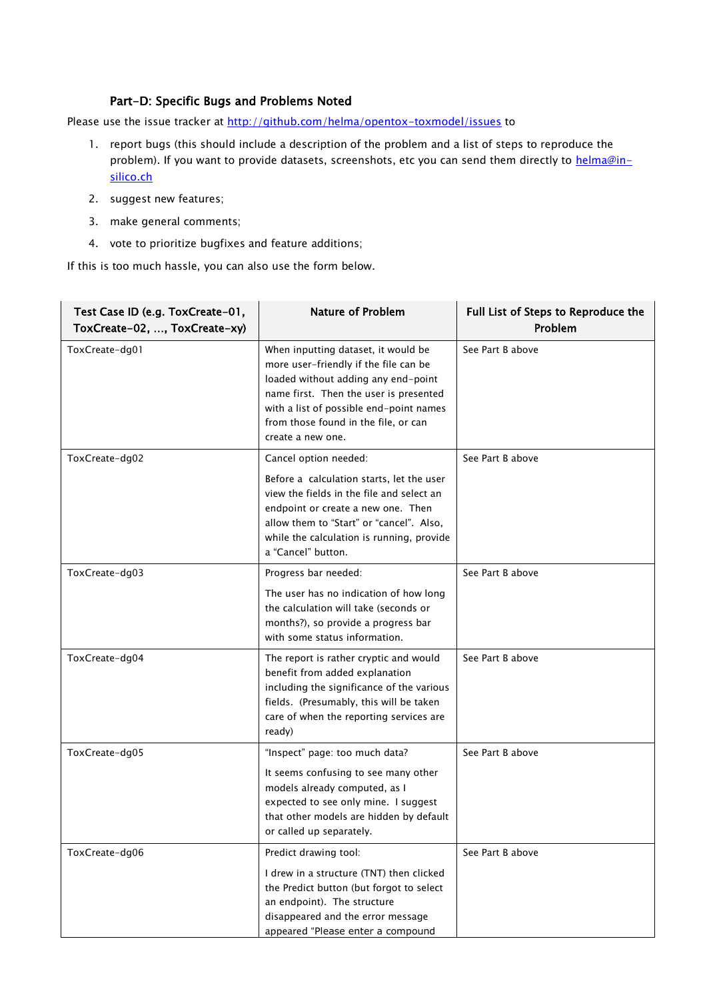#### Part-D: Specific Bugs and Problems Noted

<span id="page-31-0"></span>Please use the issue tracker at<http://github.com/helma/opentox-toxmodel/issues> to

- 1. report bugs (this should include a description of the problem and a list of steps to reproduce the problem). If you want to provide datasets, screenshots, etc you can send them directly to [helma@in](mailto:helma@in-silico.ch)[silico.ch](mailto:helma@in-silico.ch)
- 2. suggest new features;
- 3. make general comments;
- 4. vote to prioritize bugfixes and feature additions;

If this is too much hassle, you can also use the form below.

| Test Case ID (e.g. ToxCreate-01,<br>ToxCreate-02, , ToxCreate-xy) | <b>Nature of Problem</b>                                                                                                                                                                                                                                              | Full List of Steps to Reproduce the<br>Problem |
|-------------------------------------------------------------------|-----------------------------------------------------------------------------------------------------------------------------------------------------------------------------------------------------------------------------------------------------------------------|------------------------------------------------|
| ToxCreate-dg01                                                    | When inputting dataset, it would be<br>more user-friendly if the file can be<br>loaded without adding any end-point<br>name first. Then the user is presented<br>with a list of possible end-point names<br>from those found in the file, or can<br>create a new one. | See Part B above                               |
| ToxCreate-dg02                                                    | Cancel option needed:                                                                                                                                                                                                                                                 | See Part B above                               |
|                                                                   | Before a calculation starts, let the user<br>view the fields in the file and select an<br>endpoint or create a new one. Then<br>allow them to "Start" or "cancel". Also,<br>while the calculation is running, provide<br>a "Cancel" button.                           |                                                |
| ToxCreate-dg03                                                    | Progress bar needed:                                                                                                                                                                                                                                                  | See Part B above                               |
|                                                                   | The user has no indication of how long<br>the calculation will take (seconds or<br>months?), so provide a progress bar<br>with some status information.                                                                                                               |                                                |
| ToxCreate-dg04                                                    | The report is rather cryptic and would<br>benefit from added explanation<br>including the significance of the various<br>fields. (Presumably, this will be taken<br>care of when the reporting services are<br>ready)                                                 | See Part B above                               |
| ToxCreate-dg05                                                    | "Inspect" page: too much data?                                                                                                                                                                                                                                        | See Part B above                               |
|                                                                   | It seems confusing to see many other<br>models already computed, as I<br>expected to see only mine. I suggest<br>that other models are hidden by default<br>or called up separately.                                                                                  |                                                |
| ToxCreate-dg06                                                    | Predict drawing tool:                                                                                                                                                                                                                                                 | See Part B above                               |
|                                                                   | I drew in a structure (TNT) then clicked<br>the Predict button (but forgot to select<br>an endpoint). The structure<br>disappeared and the error message<br>appeared "Please enter a compound                                                                         |                                                |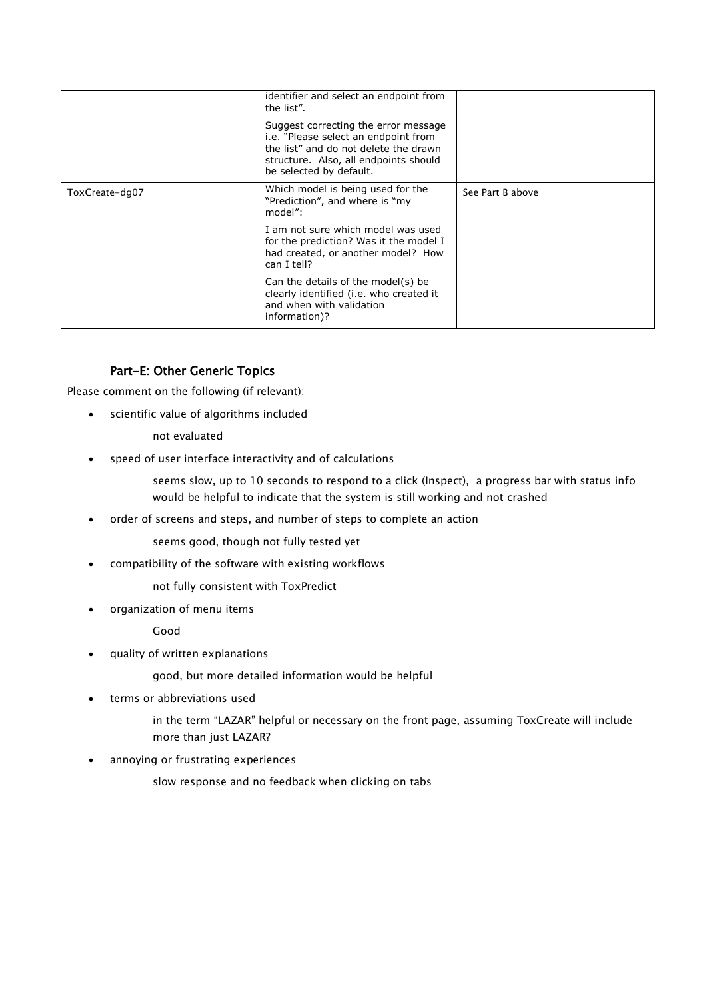|                | identifier and select an endpoint from<br>the list".<br>Suggest correcting the error message<br>i.e. "Please select an endpoint from<br>the list" and do not delete the drawn<br>structure. Also, all endpoints should<br>be selected by default. |                  |
|----------------|---------------------------------------------------------------------------------------------------------------------------------------------------------------------------------------------------------------------------------------------------|------------------|
| ToxCreate-dg07 | Which model is being used for the<br>"Prediction", and where is "my<br>model":                                                                                                                                                                    | See Part B above |
|                | I am not sure which model was used<br>for the prediction? Was it the model I<br>had created, or another model? How<br>can I tell?                                                                                                                 |                  |
|                | Can the details of the model(s) be<br>clearly identified (i.e. who created it<br>and when with validation<br>information)?                                                                                                                        |                  |

#### Part-E: Other Generic Topics

<span id="page-32-0"></span>Please comment on the following (if relevant):

scientific value of algorithms included

not evaluated

speed of user interface interactivity and of calculations

seems slow, up to 10 seconds to respond to a click (Inspect), a progress bar with status info would be helpful to indicate that the system is still working and not crashed

• order of screens and steps, and number of steps to complete an action

seems good, though not fully tested yet

- compatibility of the software with existing workflows
	- not fully consistent with ToxPredict
	- organization of menu items

Good

quality of written explanations

good, but more detailed information would be helpful

terms or abbreviations used

in the term "LAZAR" helpful or necessary on the front page, assuming ToxCreate will include more than just LAZAR?

annoying or frustrating experiences

slow response and no feedback when clicking on tabs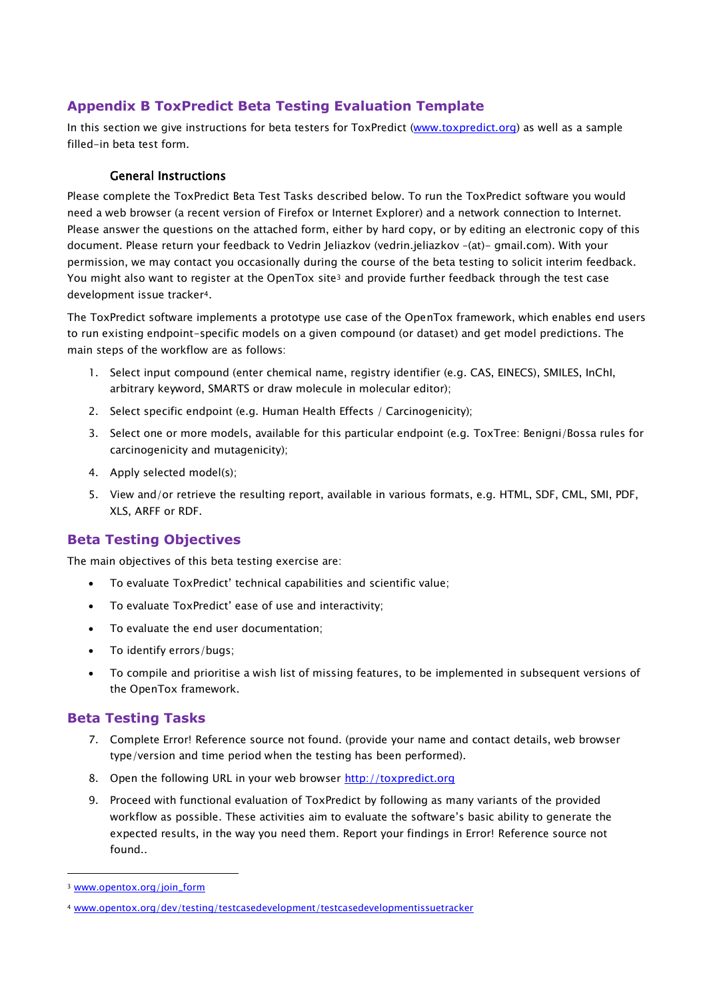## <span id="page-33-0"></span>**Appendix B ToxPredict Beta Testing Evaluation Template**

In this section we give instructions for beta testers for ToxPredict [\(www.toxpredict.org\)](http://www.toxpredict.org/) as well as a sample filled-in beta test form.

#### General Instructions

<span id="page-33-1"></span>Please complete the ToxPredict Beta Test Tasks described below. To run the ToxPredict software you would need a web browser (a recent version of Firefox or Internet Explorer) and a network connection to Internet. Please answer the questions on the attached form, either by hard copy, or by editing an electronic copy of this document. Please return your feedback to Vedrin Jeliazkov (vedrin.jeliazkov –(at)- gmail.com). With your permission, we may contact you occasionally during the course of the beta testing to solicit interim feedback. You might also want to register at the OpenTox site<sup>3</sup> and provide further feedback through the test case development issue tracker4.

The ToxPredict software implements a prototype use case of the OpenTox framework, which enables end users to run existing endpoint-specific models on a given compound (or dataset) and get model predictions. The main steps of the workflow are as follows:

- 1. Select input compound (enter chemical name, registry identifier (e.g. CAS, EINECS), SMILES, InChI, arbitrary keyword, SMARTS or draw molecule in molecular editor);
- 2. Select specific endpoint (e.g. Human Health Effects / Carcinogenicity):
- 3. Select one or more models, available for this particular endpoint (e.g. ToxTree: Benigni/Bossa rules for carcinogenicity and mutagenicity);
- 4. Apply selected model(s);
- 5. View and/or retrieve the resulting report, available in various formats, e.g. HTML, SDF, CML, SMI, PDF, XLS, ARFF or RDF.

## <span id="page-33-2"></span>**Beta Testing Objectives**

The main objectives of this beta testing exercise are:

- To evaluate ToxPredict' technical capabilities and scientific value;
- To evaluate ToxPredict' ease of use and interactivity;
- To evaluate the end user documentation;
- To identify errors/bugs;
- To compile and prioritise a wish list of missing features, to be implemented in subsequent versions of the OpenTox framework.

## <span id="page-33-3"></span>**Beta Testing Tasks**

- 7. Complete Error! Reference source not found. (provide your name and contact details, web browser type/version and time period when the testing has been performed).
- 8. Open the following URL in your web browser [http://toxpredict.org](http://toxpredict.org/)
- 9. Proceed with functional evaluation of ToxPredict by following as many variants of the provided workflow as possible. These activities aim to evaluate the software's basic ability to generate the expected results, in the way you need them. Report your findings in Error! Reference source not found..

-

<sup>3</sup> [www.opentox.org/join\\_form](http://www.opentox.org/join_form)

<sup>4</sup> [www.opentox.org/dev/testing/testcasedevelopment/testcasedevelopmentissuetracker](http://www.opentox.org/dev/testing/testcasedevelopment/testcasedevelopmentissuetracker)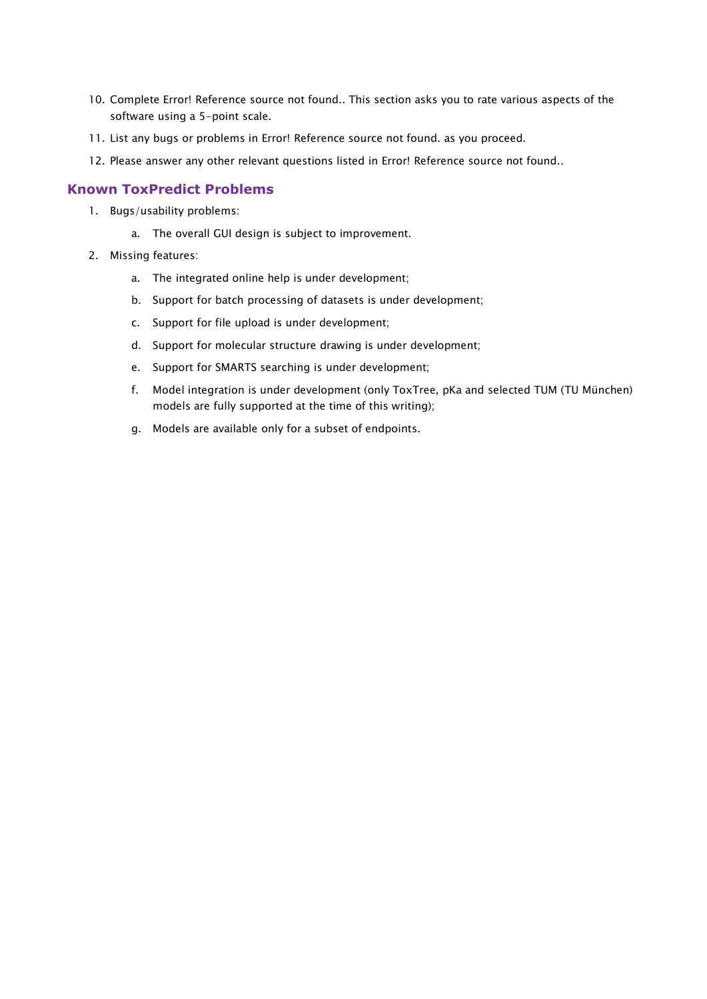- 10. Complete Error! Reference source not found.. This section asks you to rate various aspects of the software using a 5-point scale.
- 11. List any bugs or problems in Error! Reference source not found. as you proceed.
- 12. Please answer any other relevant questions listed in Error! Reference source not found..

#### <span id="page-34-0"></span>**Known ToxPredict Problems**

- 1. Bugs/usability problems:
	- a. The overall GUI design is subject to improvement.
- 2. Missing features:
	- a. The integrated online help is under development;
	- b. Support for batch processing of datasets is under development;
	- c. Support for file upload is under development;
	- d. Support for molecular structure drawing is under development;
	- e. Support for SMARTS searching is under development;
	- f. Model integration is under development (only ToxTree, pKa and selected TUM (TU München) models are fully supported at the time of this writing);
	- g. Models are available only for a subset of endpoints.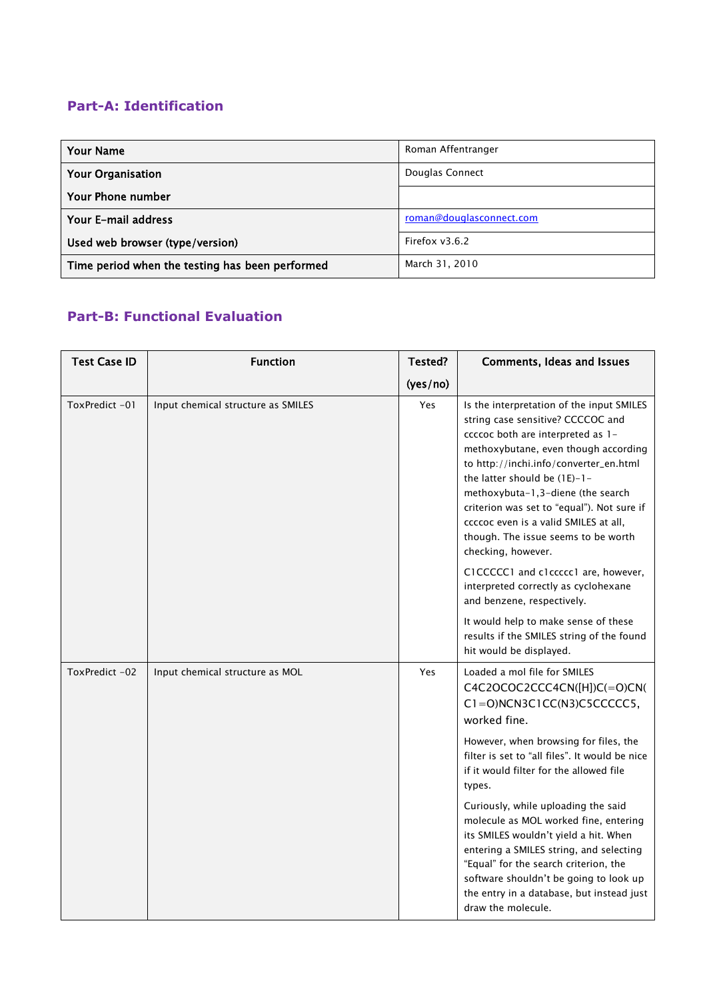# <span id="page-35-0"></span>**Part-A: Identification**

| Roman Affentranger       |  |
|--------------------------|--|
| Douglas Connect          |  |
|                          |  |
| roman@douglasconnect.com |  |
| Firefox $v3.6.2$         |  |
| March 31, 2010           |  |
|                          |  |

# <span id="page-35-1"></span>**Part-B: Functional Evaluation**

| <b>Test Case ID</b> | <b>Function</b>                    | Tested?  | Comments, Ideas and Issues                                                                                                                                                                                                                                                                                                                                                                                                                                                                                                                                                                                                                                                                                                                                                                                                                                                                                                       |
|---------------------|------------------------------------|----------|----------------------------------------------------------------------------------------------------------------------------------------------------------------------------------------------------------------------------------------------------------------------------------------------------------------------------------------------------------------------------------------------------------------------------------------------------------------------------------------------------------------------------------------------------------------------------------------------------------------------------------------------------------------------------------------------------------------------------------------------------------------------------------------------------------------------------------------------------------------------------------------------------------------------------------|
|                     |                                    | (yes/no) |                                                                                                                                                                                                                                                                                                                                                                                                                                                                                                                                                                                                                                                                                                                                                                                                                                                                                                                                  |
| ToxPredict-01       | Input chemical structure as SMILES | Yes      | Is the interpretation of the input SMILES<br>string case sensitive? CCCCOC and<br>ccccoc both are interpreted as 1-<br>methoxybutane, even though according<br>to http://inchi.info/converter_en.html<br>the latter should be $(1E)-1-$<br>methoxybuta-1,3-diene (the search<br>criterion was set to "equal"). Not sure if<br>ccccoc even is a valid SMILES at all,<br>though. The issue seems to be worth<br>checking, however.<br>C1CCCCC1 and c1ccccc1 are, however,<br>interpreted correctly as cyclohexane<br>and benzene, respectively.<br>It would help to make sense of these<br>results if the SMILES string of the found<br>hit would be displayed.<br>Loaded a mol file for SMILES<br>C4C2OCOC2CCC4CN([H])C(=O)CN(<br>$C1 = 0$ )NCN3C1CC(N3)C5CCCCC5,<br>worked fine.<br>However, when browsing for files, the<br>filter is set to "all files". It would be nice<br>if it would filter for the allowed file<br>types. |
|                     |                                    |          |                                                                                                                                                                                                                                                                                                                                                                                                                                                                                                                                                                                                                                                                                                                                                                                                                                                                                                                                  |
|                     |                                    |          |                                                                                                                                                                                                                                                                                                                                                                                                                                                                                                                                                                                                                                                                                                                                                                                                                                                                                                                                  |
| ToxPredict-02       | Input chemical structure as MOL    | Yes      |                                                                                                                                                                                                                                                                                                                                                                                                                                                                                                                                                                                                                                                                                                                                                                                                                                                                                                                                  |
|                     |                                    |          |                                                                                                                                                                                                                                                                                                                                                                                                                                                                                                                                                                                                                                                                                                                                                                                                                                                                                                                                  |
|                     |                                    |          | Curiously, while uploading the said<br>molecule as MOL worked fine, entering<br>its SMILES wouldn't yield a hit. When<br>entering a SMILES string, and selecting<br>"Equal" for the search criterion, the<br>software shouldn't be going to look up<br>the entry in a database, but instead just<br>draw the molecule.                                                                                                                                                                                                                                                                                                                                                                                                                                                                                                                                                                                                           |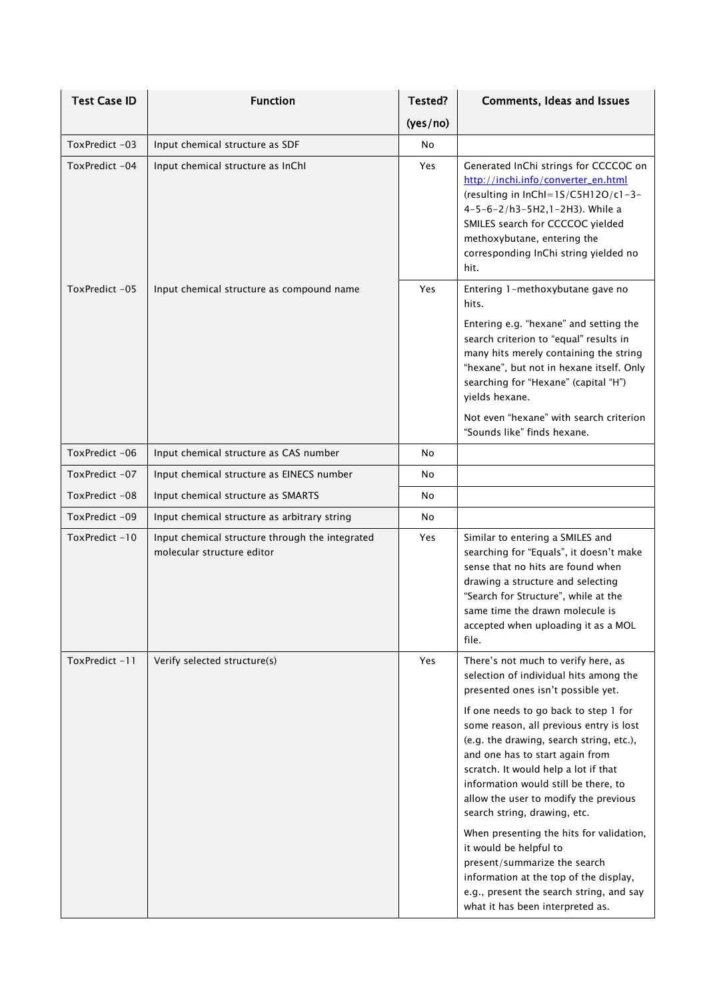| <b>Test Case ID</b> | <b>Function</b>                                                               | Tested?  | Comments, Ideas and Issues                                                                                                                                                                                                                                                                                                                                                                                                                                                                                                                                                                                                                                                      |
|---------------------|-------------------------------------------------------------------------------|----------|---------------------------------------------------------------------------------------------------------------------------------------------------------------------------------------------------------------------------------------------------------------------------------------------------------------------------------------------------------------------------------------------------------------------------------------------------------------------------------------------------------------------------------------------------------------------------------------------------------------------------------------------------------------------------------|
|                     |                                                                               | (yes/no) |                                                                                                                                                                                                                                                                                                                                                                                                                                                                                                                                                                                                                                                                                 |
| ToxPredict-03       | Input chemical structure as SDF                                               | No       |                                                                                                                                                                                                                                                                                                                                                                                                                                                                                                                                                                                                                                                                                 |
| ToxPredict-04       | Input chemical structure as InChI                                             | Yes      | Generated InChi strings for CCCCOC on<br>http://inchi.info/converter_en.html<br>(resulting in InChI=1S/C5H12O/c1-3-<br>4-5-6-2/h3-5H2,1-2H3). While a<br>SMILES search for CCCCOC yielded<br>methoxybutane, entering the<br>corresponding InChi string yielded no<br>hit.                                                                                                                                                                                                                                                                                                                                                                                                       |
| ToxPredict-05       | Input chemical structure as compound name                                     | Yes      | Entering 1-methoxybutane gave no<br>hits.<br>Entering e.g. "hexane" and setting the<br>search criterion to "equal" results in<br>many hits merely containing the string<br>"hexane", but not in hexane itself. Only<br>searching for "Hexane" (capital "H")<br>yields hexane.<br>Not even "hexane" with search criterion<br>"Sounds like" finds hexane.                                                                                                                                                                                                                                                                                                                         |
| ToxPredict-06       | Input chemical structure as CAS number                                        | No       |                                                                                                                                                                                                                                                                                                                                                                                                                                                                                                                                                                                                                                                                                 |
| ToxPredict-07       | Input chemical structure as EINECS number                                     | No       |                                                                                                                                                                                                                                                                                                                                                                                                                                                                                                                                                                                                                                                                                 |
| ToxPredict-08       | Input chemical structure as SMARTS                                            | No       |                                                                                                                                                                                                                                                                                                                                                                                                                                                                                                                                                                                                                                                                                 |
| ToxPredict-09       | Input chemical structure as arbitrary string                                  | No       |                                                                                                                                                                                                                                                                                                                                                                                                                                                                                                                                                                                                                                                                                 |
| ToxPredict-10       | Input chemical structure through the integrated<br>molecular structure editor | Yes      | Similar to entering a SMILES and<br>searching for "Equals", it doesn't make<br>sense that no hits are found when<br>drawing a structure and selecting<br>"Search for Structure", while at the<br>same time the drawn molecule is<br>accepted when uploading it as a MOL<br>file.                                                                                                                                                                                                                                                                                                                                                                                                |
| ToxPredict-11       | Verify selected structure(s)                                                  | Yes      | There's not much to verify here, as<br>selection of individual hits among the<br>presented ones isn't possible yet.<br>If one needs to go back to step 1 for<br>some reason, all previous entry is lost<br>(e.g. the drawing, search string, etc.),<br>and one has to start again from<br>scratch. It would help a lot if that<br>information would still be there, to<br>allow the user to modify the previous<br>search string, drawing, etc.<br>When presenting the hits for validation,<br>it would be helpful to<br>present/summarize the search<br>information at the top of the display,<br>e.g., present the search string, and say<br>what it has been interpreted as. |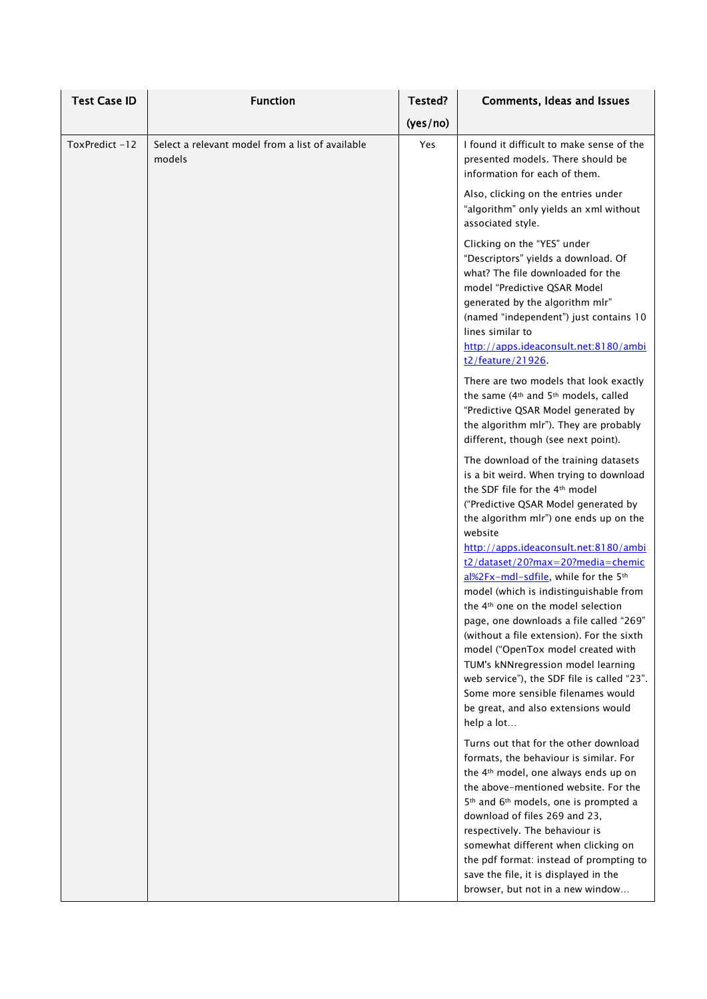| <b>Test Case ID</b> | <b>Function</b>                                            | Tested?  | <b>Comments, Ideas and Issues</b>                                                                                                                                                                                                                                                                                                                                                                                                                                                                                                                                                                                                                                                                      |
|---------------------|------------------------------------------------------------|----------|--------------------------------------------------------------------------------------------------------------------------------------------------------------------------------------------------------------------------------------------------------------------------------------------------------------------------------------------------------------------------------------------------------------------------------------------------------------------------------------------------------------------------------------------------------------------------------------------------------------------------------------------------------------------------------------------------------|
|                     |                                                            | (yes/no) |                                                                                                                                                                                                                                                                                                                                                                                                                                                                                                                                                                                                                                                                                                        |
| ToxPredict-12       | Select a relevant model from a list of available<br>models | Yes      | I found it difficult to make sense of the<br>presented models. There should be<br>information for each of them.                                                                                                                                                                                                                                                                                                                                                                                                                                                                                                                                                                                        |
|                     |                                                            |          | Also, clicking on the entries under<br>"algorithm" only yields an xml without<br>associated style.                                                                                                                                                                                                                                                                                                                                                                                                                                                                                                                                                                                                     |
|                     |                                                            |          | Clicking on the "YES" under<br>"Descriptors" yields a download. Of<br>what? The file downloaded for the<br>model "Predictive QSAR Model<br>generated by the algorithm mlr"<br>(named "independent") just contains 10<br>lines similar to<br>http://apps.ideaconsult.net:8180/ambi<br>t2/feature/21926.                                                                                                                                                                                                                                                                                                                                                                                                 |
|                     |                                                            |          | There are two models that look exactly<br>the same (4 <sup>th</sup> and 5 <sup>th</sup> models, called<br>"Predictive QSAR Model generated by<br>the algorithm mlr"). They are probably<br>different, though (see next point).                                                                                                                                                                                                                                                                                                                                                                                                                                                                         |
|                     |                                                            |          | The download of the training datasets<br>is a bit weird. When trying to download<br>the SDF file for the 4 <sup>th</sup> model<br>("Predictive QSAR Model generated by<br>the algorithm mlr") one ends up on the<br>website<br>http://apps.ideaconsult.net:8180/ambi<br>t2/dataset/20?max=20?media=chemic<br>al%2Fx-mdl-sdfile, while for the 5th<br>model (which is indistinguishable from<br>the 4 <sup>th</sup> one on the model selection<br>page, one downloads a file called "269"<br>(without a file extension). For the sixth<br>model ("OpenTox model created with<br>TUM's kNNregression model learning<br>web service"), the SDF file is called "23".<br>Some more sensible filenames would |
|                     |                                                            |          | be great, and also extensions would<br>help a lot                                                                                                                                                                                                                                                                                                                                                                                                                                                                                                                                                                                                                                                      |
|                     |                                                            |          | Turns out that for the other download<br>formats, the behaviour is similar. For<br>the 4 <sup>th</sup> model, one always ends up on<br>the above-mentioned website. For the<br>5 <sup>th</sup> and 6 <sup>th</sup> models, one is prompted a<br>download of files 269 and 23,<br>respectively. The behaviour is<br>somewhat different when clicking on<br>the pdf format: instead of prompting to<br>save the file, it is displayed in the                                                                                                                                                                                                                                                             |
|                     |                                                            |          | browser, but not in a new window                                                                                                                                                                                                                                                                                                                                                                                                                                                                                                                                                                                                                                                                       |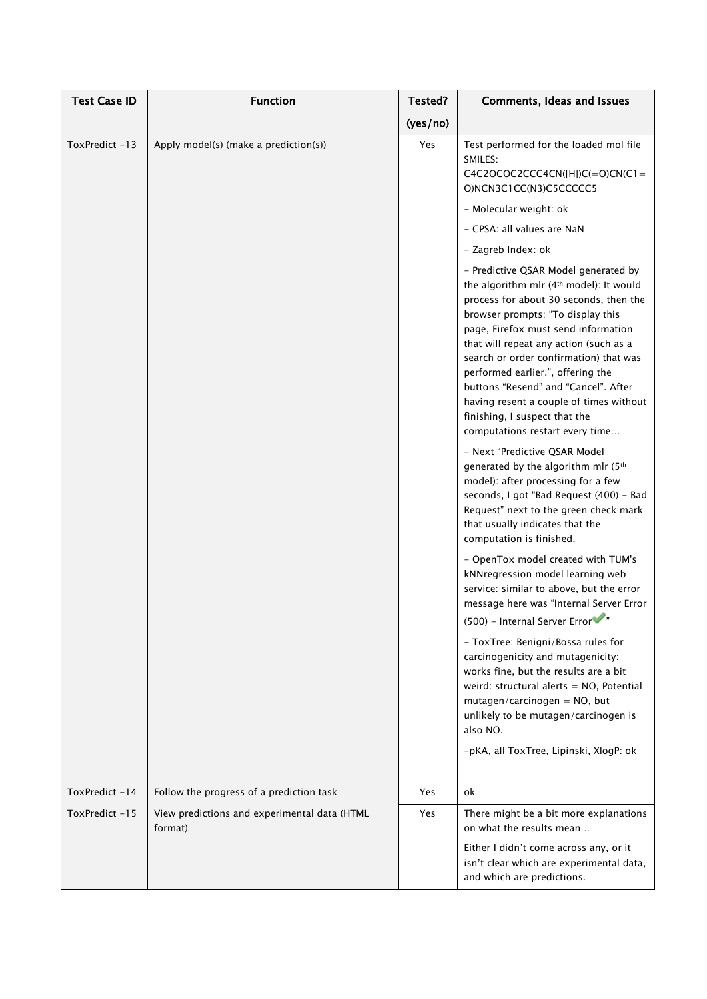| <b>Test Case ID</b> | <b>Function</b>                                         | Tested?  | Comments, Ideas and Issues                                                                                                                                                                                                                                                                                                                                                                                                                                                                                                                                                                                                                                                                                                                                                                                                                                                                                                                                                                                                                                                                   |
|---------------------|---------------------------------------------------------|----------|----------------------------------------------------------------------------------------------------------------------------------------------------------------------------------------------------------------------------------------------------------------------------------------------------------------------------------------------------------------------------------------------------------------------------------------------------------------------------------------------------------------------------------------------------------------------------------------------------------------------------------------------------------------------------------------------------------------------------------------------------------------------------------------------------------------------------------------------------------------------------------------------------------------------------------------------------------------------------------------------------------------------------------------------------------------------------------------------|
|                     |                                                         | (yes/no) |                                                                                                                                                                                                                                                                                                                                                                                                                                                                                                                                                                                                                                                                                                                                                                                                                                                                                                                                                                                                                                                                                              |
| ToxPredict-13       | Apply model(s) (make a prediction(s))                   | Yes      | Test performed for the loaded mol file<br>SMILES:<br>$C4C2OCOC2CCCACN([H])C(=O)CN(C1=$<br>O)NCN3C1CC(N3)C5CCCCC5                                                                                                                                                                                                                                                                                                                                                                                                                                                                                                                                                                                                                                                                                                                                                                                                                                                                                                                                                                             |
|                     |                                                         |          | - Molecular weight: ok                                                                                                                                                                                                                                                                                                                                                                                                                                                                                                                                                                                                                                                                                                                                                                                                                                                                                                                                                                                                                                                                       |
|                     |                                                         |          | - CPSA: all values are NaN                                                                                                                                                                                                                                                                                                                                                                                                                                                                                                                                                                                                                                                                                                                                                                                                                                                                                                                                                                                                                                                                   |
|                     |                                                         |          | - Zagreb Index: ok                                                                                                                                                                                                                                                                                                                                                                                                                                                                                                                                                                                                                                                                                                                                                                                                                                                                                                                                                                                                                                                                           |
|                     |                                                         |          | - Predictive QSAR Model generated by<br>the algorithm mlr (4 <sup>th</sup> model): It would<br>process for about 30 seconds, then the<br>browser prompts: "To display this<br>page, Firefox must send information<br>that will repeat any action (such as a<br>search or order confirmation) that was<br>performed earlier.", offering the<br>buttons "Resend" and "Cancel". After<br>having resent a couple of times without<br>finishing, I suspect that the<br>computations restart every time<br>- Next "Predictive QSAR Model<br>generated by the algorithm mlr (5th<br>model): after processing for a few<br>seconds, I got "Bad Request (400) - Bad<br>Request" next to the green check mark<br>that usually indicates that the<br>computation is finished.<br>- OpenTox model created with TUM's<br>kNNregression model learning web<br>service: similar to above, but the error<br>message here was "Internal Server Error<br>(500) - Internal Server Error ***<br>- ToxTree: Benigni/Bossa rules for<br>carcinogenicity and mutagenicity:<br>works fine, but the results are a bit |
|                     |                                                         |          | weird: structural alerts = $NO$ , Potential<br>$mutagen/carcinogen = NO$ , but<br>unlikely to be mutagen/carcinogen is<br>also NO.                                                                                                                                                                                                                                                                                                                                                                                                                                                                                                                                                                                                                                                                                                                                                                                                                                                                                                                                                           |
|                     |                                                         |          | -pKA, all ToxTree, Lipinski, XlogP: ok                                                                                                                                                                                                                                                                                                                                                                                                                                                                                                                                                                                                                                                                                                                                                                                                                                                                                                                                                                                                                                                       |
| ToxPredict-14       | Follow the progress of a prediction task                | Yes      | ok                                                                                                                                                                                                                                                                                                                                                                                                                                                                                                                                                                                                                                                                                                                                                                                                                                                                                                                                                                                                                                                                                           |
| ToxPredict-15       | View predictions and experimental data (HTML<br>format) | Yes      | There might be a bit more explanations<br>on what the results mean                                                                                                                                                                                                                                                                                                                                                                                                                                                                                                                                                                                                                                                                                                                                                                                                                                                                                                                                                                                                                           |
|                     |                                                         |          | Either I didn't come across any, or it<br>isn't clear which are experimental data,<br>and which are predictions.                                                                                                                                                                                                                                                                                                                                                                                                                                                                                                                                                                                                                                                                                                                                                                                                                                                                                                                                                                             |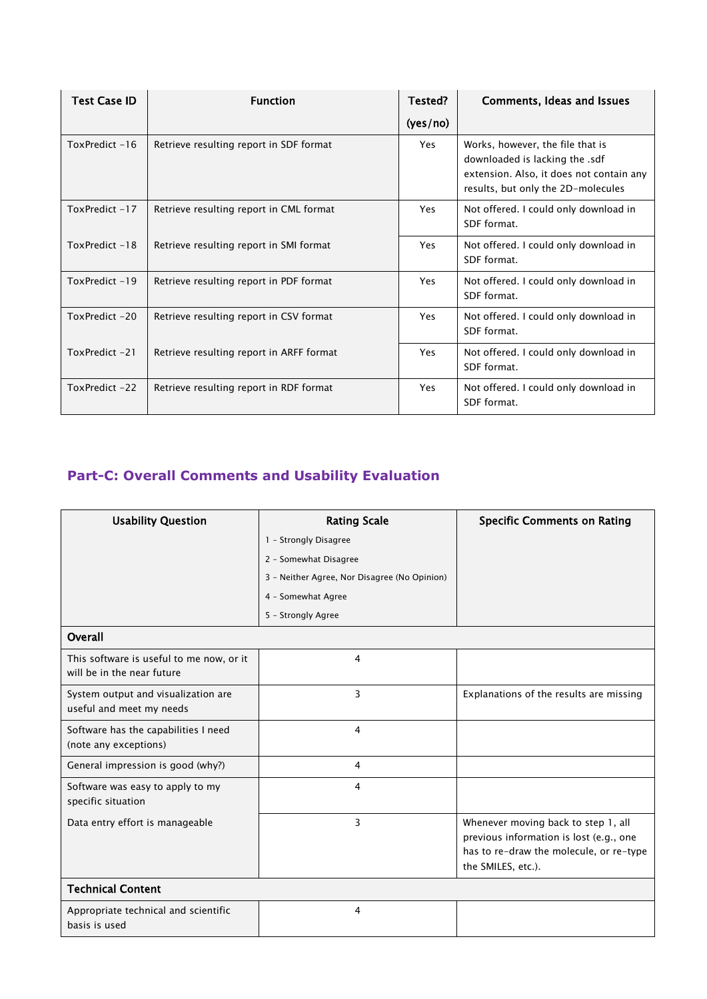| Test Case ID  | <b>Function</b>                          | Tested?  | Comments, Ideas and Issues                                                                                                                           |
|---------------|------------------------------------------|----------|------------------------------------------------------------------------------------------------------------------------------------------------------|
|               |                                          | (yes/no) |                                                                                                                                                      |
| ToxPredict-16 | Retrieve resulting report in SDF format  | Yes      | Works, however, the file that is<br>downloaded is lacking the .sdf<br>extension. Also, it does not contain any<br>results, but only the 2D-molecules |
| ToxPredict-17 | Retrieve resulting report in CML format  | Yes      | Not offered. I could only download in<br>SDF format.                                                                                                 |
| ToxPredict-18 | Retrieve resulting report in SMI format  | Yes      | Not offered. I could only download in<br>SDF format.                                                                                                 |
| ToxPredict-19 | Retrieve resulting report in PDF format  | Yes      | Not offered. I could only download in<br>SDF format.                                                                                                 |
| ToxPredict-20 | Retrieve resulting report in CSV format  | Yes      | Not offered. I could only download in<br>SDF format.                                                                                                 |
| ToxPredict-21 | Retrieve resulting report in ARFF format | Yes      | Not offered. I could only download in<br>SDF format.                                                                                                 |
| ToxPredict-22 | Retrieve resulting report in RDF format  | Yes      | Not offered. I could only download in<br>SDF format.                                                                                                 |

# <span id="page-39-0"></span>**Part-C: Overall Comments and Usability Evaluation**

| <b>Usability Question</b>                                              | <b>Rating Scale</b>                          | <b>Specific Comments on Rating</b>                                                                                                              |
|------------------------------------------------------------------------|----------------------------------------------|-------------------------------------------------------------------------------------------------------------------------------------------------|
|                                                                        | 1 - Strongly Disagree                        |                                                                                                                                                 |
|                                                                        | 2 - Somewhat Disagree                        |                                                                                                                                                 |
|                                                                        | 3 - Neither Agree, Nor Disagree (No Opinion) |                                                                                                                                                 |
|                                                                        | 4 - Somewhat Agree                           |                                                                                                                                                 |
|                                                                        | 5 - Strongly Agree                           |                                                                                                                                                 |
| Overall                                                                |                                              |                                                                                                                                                 |
| This software is useful to me now, or it<br>will be in the near future | 4                                            |                                                                                                                                                 |
| System output and visualization are<br>useful and meet my needs        | 3                                            | Explanations of the results are missing                                                                                                         |
| Software has the capabilities I need<br>(note any exceptions)          | 4                                            |                                                                                                                                                 |
| General impression is good (why?)                                      | 4                                            |                                                                                                                                                 |
| Software was easy to apply to my<br>specific situation                 | 4                                            |                                                                                                                                                 |
| Data entry effort is manageable                                        | 3                                            | Whenever moving back to step 1, all<br>previous information is lost (e.g., one<br>has to re-draw the molecule, or re-type<br>the SMILES, etc.). |
| <b>Technical Content</b>                                               |                                              |                                                                                                                                                 |
| Appropriate technical and scientific<br>basis is used                  | 4                                            |                                                                                                                                                 |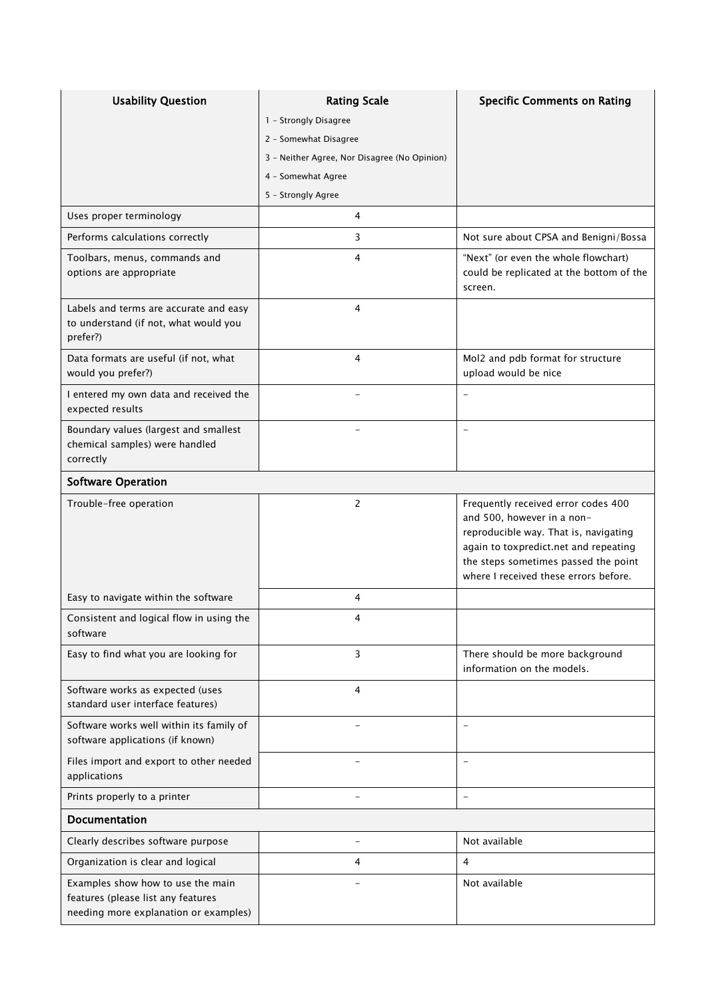| <b>Usability Question</b>                                                                                        | <b>Rating Scale</b>                          | <b>Specific Comments on Rating</b>                                                                                                                                                                                                   |
|------------------------------------------------------------------------------------------------------------------|----------------------------------------------|--------------------------------------------------------------------------------------------------------------------------------------------------------------------------------------------------------------------------------------|
|                                                                                                                  | 1 - Strongly Disagree                        |                                                                                                                                                                                                                                      |
|                                                                                                                  | 2 - Somewhat Disagree                        |                                                                                                                                                                                                                                      |
|                                                                                                                  | 3 - Neither Agree, Nor Disagree (No Opinion) |                                                                                                                                                                                                                                      |
|                                                                                                                  | 4 - Somewhat Agree                           |                                                                                                                                                                                                                                      |
|                                                                                                                  | 5 - Strongly Agree                           |                                                                                                                                                                                                                                      |
| Uses proper terminology                                                                                          | 4                                            |                                                                                                                                                                                                                                      |
| Performs calculations correctly                                                                                  | 3                                            | Not sure about CPSA and Benigni/Bossa                                                                                                                                                                                                |
| Toolbars, menus, commands and<br>options are appropriate                                                         | 4                                            | "Next" (or even the whole flowchart)<br>could be replicated at the bottom of the<br>screen.                                                                                                                                          |
| Labels and terms are accurate and easy<br>to understand (if not, what would you<br>prefer?)                      | 4                                            |                                                                                                                                                                                                                                      |
| Data formats are useful (if not, what<br>would you prefer?)                                                      | 4                                            | Mol2 and pdb format for structure<br>upload would be nice                                                                                                                                                                            |
| I entered my own data and received the<br>expected results                                                       |                                              |                                                                                                                                                                                                                                      |
| Boundary values (largest and smallest<br>chemical samples) were handled<br>correctly                             | $\overline{\phantom{0}}$                     | $\frac{1}{2}$                                                                                                                                                                                                                        |
| <b>Software Operation</b>                                                                                        |                                              |                                                                                                                                                                                                                                      |
| Trouble-free operation                                                                                           | $\mathbf{2}$                                 | Frequently received error codes 400<br>and 500, however in a non-<br>reproducible way. That is, navigating<br>again to toxpredict.net and repeating<br>the steps sometimes passed the point<br>where I received these errors before. |
| Easy to navigate within the software                                                                             | 4                                            |                                                                                                                                                                                                                                      |
| Consistent and logical flow in using the<br>software                                                             | 4                                            |                                                                                                                                                                                                                                      |
| Easy to find what you are looking for                                                                            | 3                                            | There should be more background<br>information on the models.                                                                                                                                                                        |
| Software works as expected (uses<br>standard user interface features)                                            | 4                                            |                                                                                                                                                                                                                                      |
| Software works well within its family of<br>software applications (if known)                                     |                                              | $\overline{\phantom{a}}$                                                                                                                                                                                                             |
| Files import and export to other needed<br>applications                                                          |                                              |                                                                                                                                                                                                                                      |
| Prints properly to a printer                                                                                     | L.                                           | $\equiv$                                                                                                                                                                                                                             |
| Documentation                                                                                                    |                                              |                                                                                                                                                                                                                                      |
| Clearly describes software purpose                                                                               | $\overline{\phantom{0}}$                     | Not available                                                                                                                                                                                                                        |
| Organization is clear and logical                                                                                | 4                                            | 4                                                                                                                                                                                                                                    |
| Examples show how to use the main<br>features (please list any features<br>needing more explanation or examples) |                                              | Not available                                                                                                                                                                                                                        |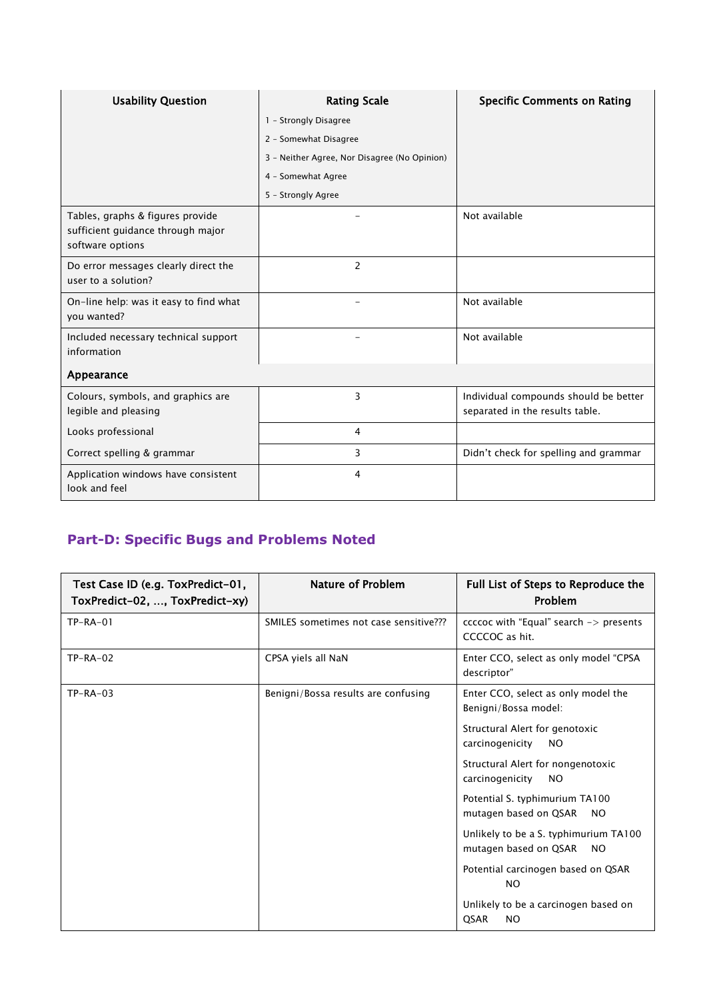| <b>Usability Question</b>                                                                 | <b>Rating Scale</b>                          | <b>Specific Comments on Rating</b>                                       |
|-------------------------------------------------------------------------------------------|----------------------------------------------|--------------------------------------------------------------------------|
|                                                                                           | 1 - Strongly Disagree                        |                                                                          |
|                                                                                           | 2 - Somewhat Disagree                        |                                                                          |
|                                                                                           | 3 - Neither Agree, Nor Disagree (No Opinion) |                                                                          |
|                                                                                           | 4 - Somewhat Agree                           |                                                                          |
|                                                                                           | 5 - Strongly Agree                           |                                                                          |
| Tables, graphs & figures provide<br>sufficient guidance through major<br>software options |                                              | Not available                                                            |
| Do error messages clearly direct the<br>user to a solution?                               | $\overline{2}$                               |                                                                          |
| On-line help: was it easy to find what<br>you wanted?                                     | $\overline{\phantom{0}}$                     | Not available                                                            |
| Included necessary technical support<br>information                                       |                                              | Not available                                                            |
| Appearance                                                                                |                                              |                                                                          |
| Colours, symbols, and graphics are<br>legible and pleasing                                | 3                                            | Individual compounds should be better<br>separated in the results table. |
| Looks professional                                                                        | $\overline{4}$                               |                                                                          |
| Correct spelling & grammar                                                                | 3                                            | Didn't check for spelling and grammar                                    |
| Application windows have consistent<br>look and feel                                      | 4                                            |                                                                          |

# <span id="page-41-0"></span>**Part-D: Specific Bugs and Problems Noted**

| Test Case ID (e.g. ToxPredict-01,<br>ToxPredict-02, , ToxPredict-xy) | <b>Nature of Problem</b>               | Full List of Steps to Reproduce the<br>Problem                              |
|----------------------------------------------------------------------|----------------------------------------|-----------------------------------------------------------------------------|
| $TP-RA-01$                                                           | SMILES sometimes not case sensitive??? | $ccc\ddot{c}c$ with "Equal" search $\rightarrow$ presents<br>CCCCOC as hit. |
| $TP-RA-02$                                                           | CPSA yiels all NaN                     | Enter CCO, select as only model "CPSA<br>descriptor"                        |
| $TP-RA-03$                                                           | Benigni/Bossa results are confusing    | Enter CCO, select as only model the<br>Benigni/Bossa model:                 |
|                                                                      |                                        | Structural Alert for genotoxic<br>carcinogenicity<br><b>NO</b>              |
|                                                                      |                                        | Structural Alert for nongenotoxic<br>carcinogenicity<br><b>NO</b>           |
|                                                                      |                                        | Potential S. typhimurium TA100<br>mutagen based on QSAR<br>NO.              |
|                                                                      |                                        | Unlikely to be a S. typhimurium TA100<br>mutagen based on QSAR<br>NO.       |
|                                                                      |                                        | Potential carcinogen based on QSAR<br>N <sub>O</sub>                        |
|                                                                      |                                        | Unlikely to be a carcinogen based on<br><b>OSAR</b><br><b>NO</b>            |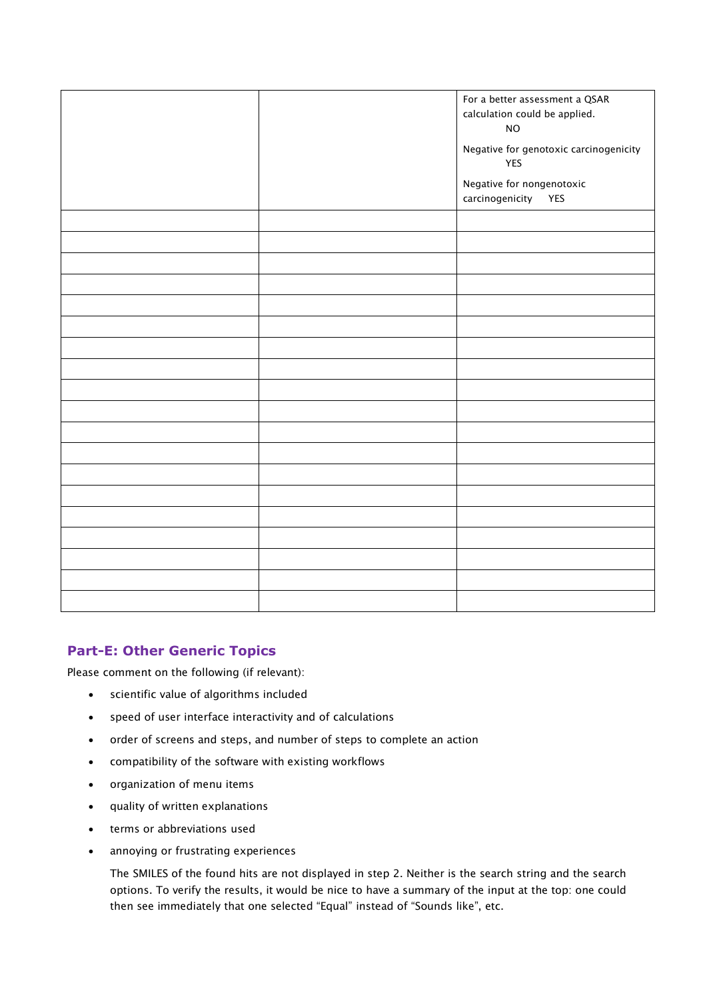|  | For a better assessment a QSAR<br>calculation could be applied.<br>$NO$<br>Negative for genotoxic carcinogenicity<br><b>YES</b><br>Negative for nongenotoxic<br>carcinogenicity YES |
|--|-------------------------------------------------------------------------------------------------------------------------------------------------------------------------------------|
|  |                                                                                                                                                                                     |
|  |                                                                                                                                                                                     |
|  |                                                                                                                                                                                     |
|  |                                                                                                                                                                                     |
|  |                                                                                                                                                                                     |
|  |                                                                                                                                                                                     |
|  |                                                                                                                                                                                     |
|  |                                                                                                                                                                                     |
|  |                                                                                                                                                                                     |
|  |                                                                                                                                                                                     |
|  |                                                                                                                                                                                     |
|  |                                                                                                                                                                                     |
|  |                                                                                                                                                                                     |
|  |                                                                                                                                                                                     |
|  |                                                                                                                                                                                     |
|  |                                                                                                                                                                                     |
|  |                                                                                                                                                                                     |
|  |                                                                                                                                                                                     |
|  |                                                                                                                                                                                     |

#### <span id="page-42-0"></span>**Part-E: Other Generic Topics**

Please comment on the following (if relevant):

- scientific value of algorithms included
- speed of user interface interactivity and of calculations
- order of screens and steps, and number of steps to complete an action
- compatibility of the software with existing workflows
- organization of menu items
- quality of written explanations
- terms or abbreviations used
- annoying or frustrating experiences

The SMILES of the found hits are not displayed in step 2. Neither is the search string and the search options. To verify the results, it would be nice to have a summary of the input at the top: one could then see immediately that one selected "Equal" instead of "Sounds like", etc.